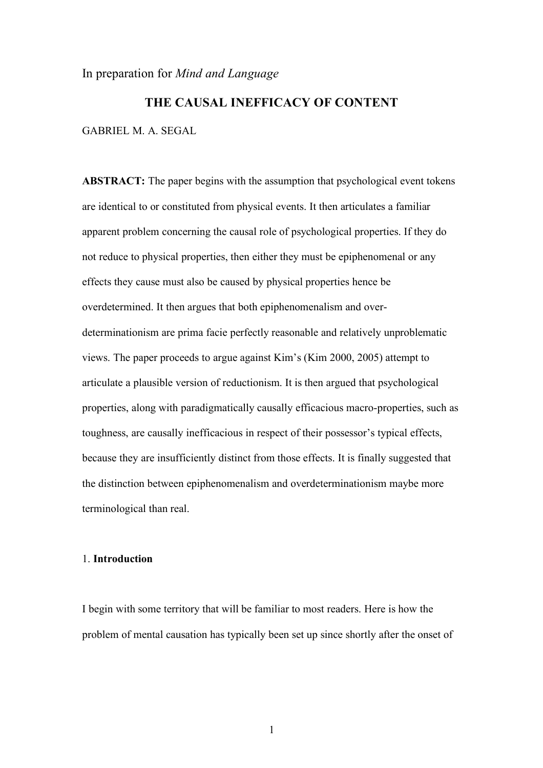## In preparation for *Mind and Language*

# **THE CAUSAL INEFFICACY OF CONTENT** GABRIEL M. A. SEGAL

**ABSTRACT:** The paper begins with the assumption that psychological event tokens are identical to or constituted from physical events. It then articulates a familiar apparent problem concerning the causal role of psychological properties. If they do not reduce to physical properties, then either they must be epiphenomenal or any effects they cause must also be caused by physical properties hence be overdetermined. It then argues that both epiphenomenalism and overdeterminationism are prima facie perfectly reasonable and relatively unproblematic views. The paper proceeds to argue against Kim's (Kim 2000, 2005) attempt to articulate a plausible version of reductionism. It is then argued that psychological properties, along with paradigmatically causally efficacious macro-properties, such as toughness, are causally inefficacious in respect of their possessor's typical effects, because they are insufficiently distinct from those effects. It is finally suggested that the distinction between epiphenomenalism and overdeterminationism maybe more terminological than real.

## 1. **Introduction**

I begin with some territory that will be familiar to most readers. Here is how the problem of mental causation has typically been set up since shortly after the onset of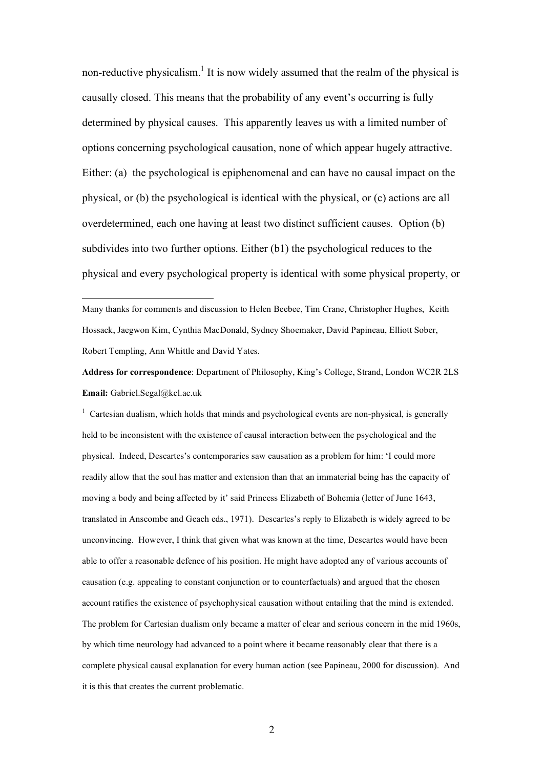non-reductive physicalism.<sup>1</sup> It is now widely assumed that the realm of the physical is causally closed. This means that the probability of any event's occurring is fully determined by physical causes. This apparently leaves us with a limited number of options concerning psychological causation, none of which appear hugely attractive. Either: (a) the psychological is epiphenomenal and can have no causal impact on the physical, or (b) the psychological is identical with the physical, or (c) actions are all overdetermined, each one having at least two distinct sufficient causes. Option (b) subdivides into two further options. Either (b1) the psychological reduces to the physical and every psychological property is identical with some physical property, or

 Many thanks for comments and discussion to Helen Beebee, Tim Crane, Christopher Hughes, Keith Hossack, Jaegwon Kim, Cynthia MacDonald, Sydney Shoemaker, David Papineau, Elliott Sober, Robert Templing, Ann Whittle and David Yates.

**Address for correspondence**: Department of Philosophy, King's College, Strand, London WC2R 2LS **Email:** Gabriel.Segal@kcl.ac.uk

 $1$  Cartesian dualism, which holds that minds and psychological events are non-physical, is generally held to be inconsistent with the existence of causal interaction between the psychological and the physical. Indeed, Descartes's contemporaries saw causation as a problem for him: 'I could more readily allow that the soul has matter and extension than that an immaterial being has the capacity of moving a body and being affected by it' said Princess Elizabeth of Bohemia (letter of June 1643, translated in Anscombe and Geach eds., 1971). Descartes's reply to Elizabeth is widely agreed to be unconvincing. However, I think that given what was known at the time, Descartes would have been able to offer a reasonable defence of his position. He might have adopted any of various accounts of causation (e.g. appealing to constant conjunction or to counterfactuals) and argued that the chosen account ratifies the existence of psychophysical causation without entailing that the mind is extended. The problem for Cartesian dualism only became a matter of clear and serious concern in the mid 1960s, by which time neurology had advanced to a point where it became reasonably clear that there is a complete physical causal explanation for every human action (see Papineau, 2000 for discussion). And it is this that creates the current problematic.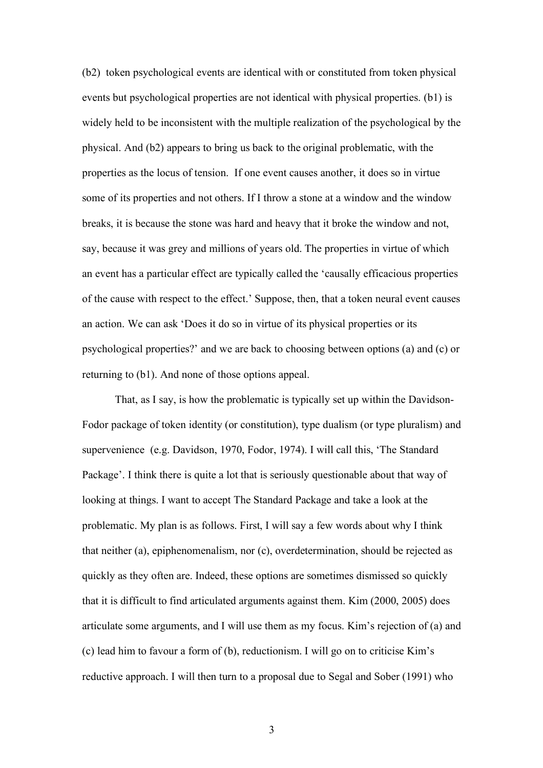(b2) token psychological events are identical with or constituted from token physical events but psychological properties are not identical with physical properties. (b1) is widely held to be inconsistent with the multiple realization of the psychological by the physical. And (b2) appears to bring us back to the original problematic, with the properties as the locus of tension. If one event causes another, it does so in virtue some of its properties and not others. If I throw a stone at a window and the window breaks, it is because the stone was hard and heavy that it broke the window and not, say, because it was grey and millions of years old. The properties in virtue of which an event has a particular effect are typically called the 'causally efficacious properties of the cause with respect to the effect.' Suppose, then, that a token neural event causes an action. We can ask 'Does it do so in virtue of its physical properties or its psychological properties?' and we are back to choosing between options (a) and (c) or returning to (b1). And none of those options appeal.

That, as I say, is how the problematic is typically set up within the Davidson-Fodor package of token identity (or constitution), type dualism (or type pluralism) and supervenience (e.g. Davidson, 1970, Fodor, 1974). I will call this, 'The Standard Package'. I think there is quite a lot that is seriously questionable about that way of looking at things. I want to accept The Standard Package and take a look at the problematic. My plan is as follows. First, I will say a few words about why I think that neither (a), epiphenomenalism, nor (c), overdetermination, should be rejected as quickly as they often are. Indeed, these options are sometimes dismissed so quickly that it is difficult to find articulated arguments against them. Kim (2000, 2005) does articulate some arguments, and I will use them as my focus. Kim's rejection of (a) and (c) lead him to favour a form of (b), reductionism. I will go on to criticise Kim's reductive approach. I will then turn to a proposal due to Segal and Sober (1991) who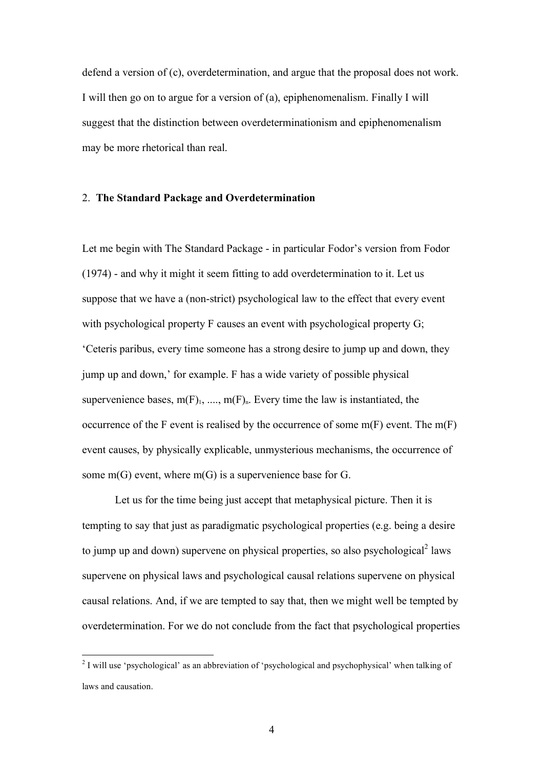defend a version of (c), overdetermination, and argue that the proposal does not work. I will then go on to argue for a version of (a), epiphenomenalism. Finally I will suggest that the distinction between overdeterminationism and epiphenomenalism may be more rhetorical than real.

# 2. **The Standard Package and Overdetermination**

Let me begin with The Standard Package - in particular Fodor's version from Fodor (1974) - and why it might it seem fitting to add overdetermination to it. Let us suppose that we have a (non-strict) psychological law to the effect that every event with psychological property F causes an event with psychological property G; 'Ceteris paribus, every time someone has a strong desire to jump up and down, they jump up and down,' for example. F has a wide variety of possible physical supervenience bases,  $m(F)$ <sub>1</sub>, ...,  $m(F)$ <sub>n</sub>. Every time the law is instantiated, the occurrence of the F event is realised by the occurrence of some  $m(F)$  event. The  $m(F)$ event causes, by physically explicable, unmysterious mechanisms, the occurrence of some  $m(G)$  event, where  $m(G)$  is a supervenience base for G.

Let us for the time being just accept that metaphysical picture. Then it is tempting to say that just as paradigmatic psychological properties (e.g. being a desire to jump up and down) supervene on physical properties, so also psychological<sup>2</sup> laws supervene on physical laws and psychological causal relations supervene on physical causal relations. And, if we are tempted to say that, then we might well be tempted by overdetermination. For we do not conclude from the fact that psychological properties

 <sup>2</sup> <sup>I</sup> will use 'psychological' as an abbreviation of 'psychological and psychophysical' when talking of laws and causation.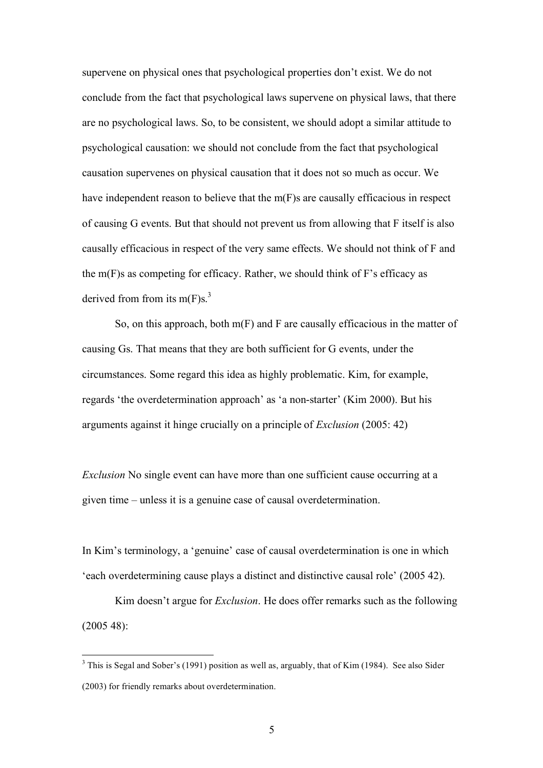supervene on physical ones that psychological properties don't exist. We do not conclude from the fact that psychological laws supervene on physical laws, that there are no psychological laws. So, to be consistent, we should adopt a similar attitude to psychological causation: we should not conclude from the fact that psychological causation supervenes on physical causation that it does not so much as occur. We have independent reason to believe that the m(F)s are causally efficacious in respect of causing G events. But that should not prevent us from allowing that F itself is also causally efficacious in respect of the very same effects. We should not think of F and the m(F)s as competing for efficacy. Rather, we should think of F's efficacy as derived from from its m(F)s.<sup>3</sup>

So, on this approach, both m(F) and F are causally efficacious in the matter of causing Gs. That means that they are both sufficient for G events, under the circumstances. Some regard this idea as highly problematic. Kim, for example, regards 'the overdetermination approach' as 'a non-starter' (Kim 2000). But his arguments against it hinge crucially on a principle of *Exclusion* (2005: 42)

*Exclusion* No single event can have more than one sufficient cause occurring at a given time – unless it is a genuine case of causal overdetermination.

In Kim's terminology, a 'genuine' case of causal overdetermination is one in which 'each overdetermining cause plays a distinct and distinctive causal role' (2005 42).

Kim doesn't argue for *Exclusion*. He does offer remarks such as the following (2005 48):

<sup>&</sup>lt;sup>3</sup> This is Segal and Sober's (1991) position as well as, arguably, that of Kim (1984). See also Sider (2003) for friendly remarks about overdetermination.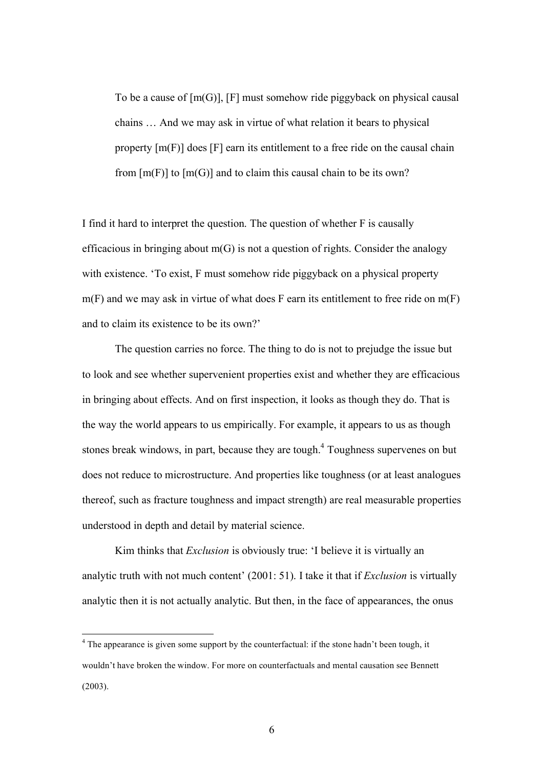To be a cause of  $[m(G)]$ , [F] must somehow ride piggyback on physical causal chains … And we may ask in virtue of what relation it bears to physical property [m(F)] does [F] earn its entitlement to a free ride on the causal chain from  $[m(F)]$  to  $[m(G)]$  and to claim this causal chain to be its own?

I find it hard to interpret the question. The question of whether F is causally efficacious in bringing about  $m(G)$  is not a question of rights. Consider the analogy with existence. 'To exist, F must somehow ride piggyback on a physical property  $m(F)$  and we may ask in virtue of what does F earn its entitlement to free ride on  $m(F)$ and to claim its existence to be its own?'

The question carries no force. The thing to do is not to prejudge the issue but to look and see whether supervenient properties exist and whether they are efficacious in bringing about effects. And on first inspection, it looks as though they do. That is the way the world appears to us empirically. For example, it appears to us as though stones break windows, in part, because they are tough.<sup>4</sup> Toughness supervenes on but does not reduce to microstructure. And properties like toughness (or at least analogues thereof, such as fracture toughness and impact strength) are real measurable properties understood in depth and detail by material science.

Kim thinks that *Exclusion* is obviously true: 'I believe it is virtually an analytic truth with not much content' (2001: 51). I take it that if *Exclusion* is virtually analytic then it is not actually analytic. But then, in the face of appearances, the onus

<sup>&</sup>lt;sup>4</sup> The appearance is given some support by the counterfactual: if the stone hadn't been tough, it wouldn't have broken the window. For more on counterfactuals and mental causation see Bennett (2003).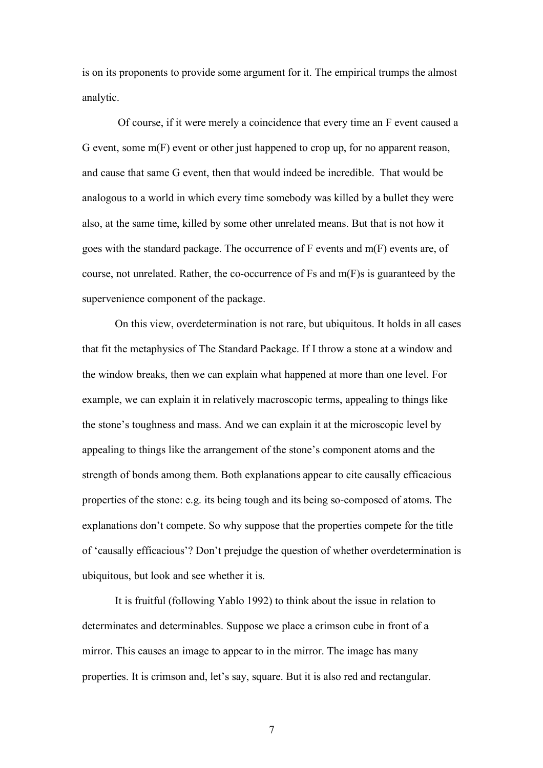is on its proponents to provide some argument for it. The empirical trumps the almost analytic.

Of course, if it were merely a coincidence that every time an F event caused a G event, some m(F) event or other just happened to crop up, for no apparent reason, and cause that same G event, then that would indeed be incredible. That would be analogous to a world in which every time somebody was killed by a bullet they were also, at the same time, killed by some other unrelated means. But that is not how it goes with the standard package. The occurrence of F events and m(F) events are, of course, not unrelated. Rather, the co-occurrence of Fs and m(F)s is guaranteed by the supervenience component of the package.

On this view, overdetermination is not rare, but ubiquitous. It holds in all cases that fit the metaphysics of The Standard Package. If I throw a stone at a window and the window breaks, then we can explain what happened at more than one level. For example, we can explain it in relatively macroscopic terms, appealing to things like the stone's toughness and mass. And we can explain it at the microscopic level by appealing to things like the arrangement of the stone's component atoms and the strength of bonds among them. Both explanations appear to cite causally efficacious properties of the stone: e.g. its being tough and its being so-composed of atoms. The explanations don't compete. So why suppose that the properties compete for the title of 'causally efficacious'? Don't prejudge the question of whether overdetermination is ubiquitous, but look and see whether it is.

It is fruitful (following Yablo 1992) to think about the issue in relation to determinates and determinables. Suppose we place a crimson cube in front of a mirror. This causes an image to appear to in the mirror. The image has many properties. It is crimson and, let's say, square. But it is also red and rectangular.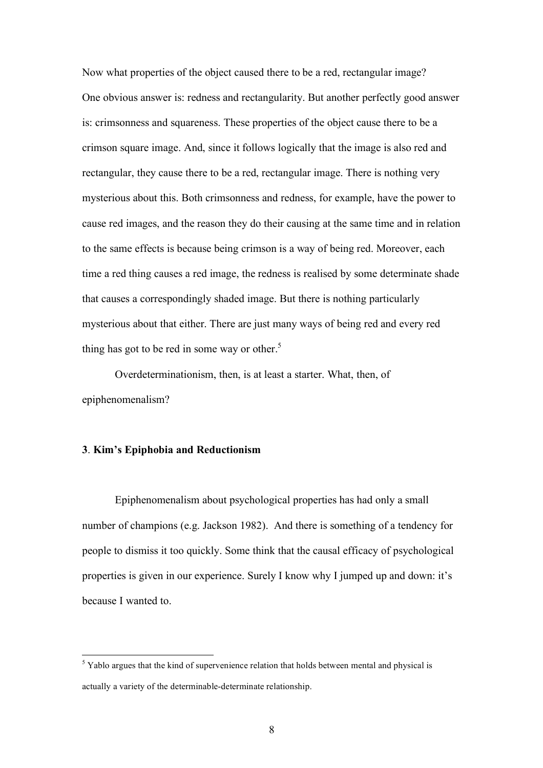Now what properties of the object caused there to be a red, rectangular image? One obvious answer is: redness and rectangularity. But another perfectly good answer is: crimsonness and squareness. These properties of the object cause there to be a crimson square image. And, since it follows logically that the image is also red and rectangular, they cause there to be a red, rectangular image. There is nothing very mysterious about this. Both crimsonness and redness, for example, have the power to cause red images, and the reason they do their causing at the same time and in relation to the same effects is because being crimson is a way of being red. Moreover, each time a red thing causes a red image, the redness is realised by some determinate shade that causes a correspondingly shaded image. But there is nothing particularly mysterious about that either. There are just many ways of being red and every red thing has got to be red in some way or other.<sup>5</sup>

Overdeterminationism, then, is at least a starter. What, then, of epiphenomenalism?

#### **3**. **Kim's Epiphobia and Reductionism**

Epiphenomenalism about psychological properties has had only a small number of champions (e.g. Jackson 1982). And there is something of a tendency for people to dismiss it too quickly. Some think that the causal efficacy of psychological properties is given in our experience. Surely I know why I jumped up and down: it's because I wanted to.

 $<sup>5</sup>$  Yablo argues that the kind of supervenience relation that holds between mental and physical is</sup> actually a variety of the determinable-determinate relationship.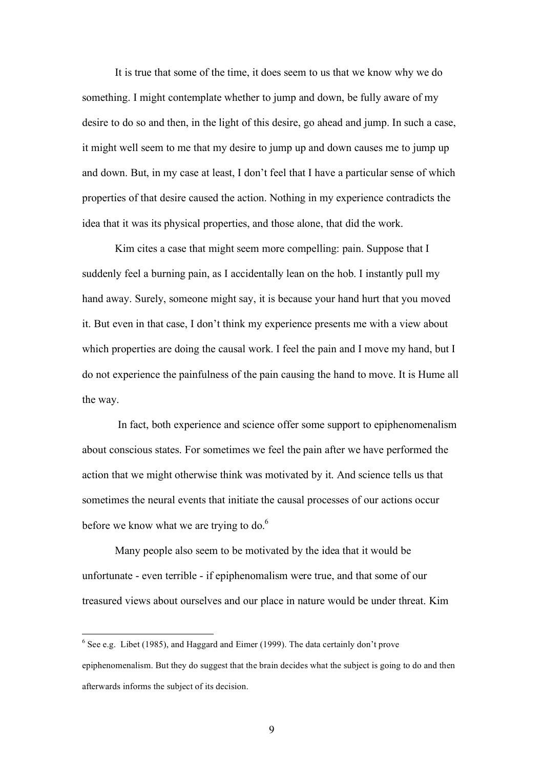It is true that some of the time, it does seem to us that we know why we do something. I might contemplate whether to jump and down, be fully aware of my desire to do so and then, in the light of this desire, go ahead and jump. In such a case, it might well seem to me that my desire to jump up and down causes me to jump up and down. But, in my case at least, I don't feel that I have a particular sense of which properties of that desire caused the action. Nothing in my experience contradicts the idea that it was its physical properties, and those alone, that did the work.

Kim cites a case that might seem more compelling: pain. Suppose that I suddenly feel a burning pain, as I accidentally lean on the hob. I instantly pull my hand away. Surely, someone might say, it is because your hand hurt that you moved it. But even in that case, I don't think my experience presents me with a view about which properties are doing the causal work. I feel the pain and I move my hand, but I do not experience the painfulness of the pain causing the hand to move. It is Hume all the way.

In fact, both experience and science offer some support to epiphenomenalism about conscious states. For sometimes we feel the pain after we have performed the action that we might otherwise think was motivated by it. And science tells us that sometimes the neural events that initiate the causal processes of our actions occur before we know what we are trying to do. $<sup>6</sup>$ </sup>

Many people also seem to be motivated by the idea that it would be unfortunate - even terrible - if epiphenomalism were true, and that some of our treasured views about ourselves and our place in nature would be under threat. Kim

 $6$  See e.g. Libet (1985), and Haggard and Eimer (1999). The data certainly don't prove epiphenomenalism. But they do suggest that the brain decides what the subject is going to do and then afterwards informs the subject of its decision.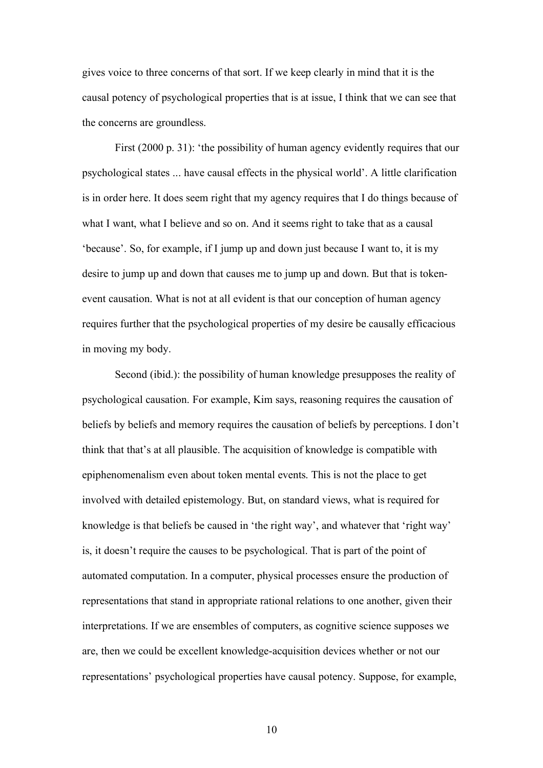gives voice to three concerns of that sort. If we keep clearly in mind that it is the causal potency of psychological properties that is at issue, I think that we can see that the concerns are groundless.

First (2000 p. 31): 'the possibility of human agency evidently requires that our psychological states ... have causal effects in the physical world'. A little clarification is in order here. It does seem right that my agency requires that I do things because of what I want, what I believe and so on. And it seems right to take that as a causal 'because'. So, for example, if I jump up and down just because I want to, it is my desire to jump up and down that causes me to jump up and down. But that is tokenevent causation. What is not at all evident is that our conception of human agency requires further that the psychological properties of my desire be causally efficacious in moving my body.

Second (ibid.): the possibility of human knowledge presupposes the reality of psychological causation. For example, Kim says, reasoning requires the causation of beliefs by beliefs and memory requires the causation of beliefs by perceptions. I don't think that that's at all plausible. The acquisition of knowledge is compatible with epiphenomenalism even about token mental events. This is not the place to get involved with detailed epistemology. But, on standard views, what is required for knowledge is that beliefs be caused in 'the right way', and whatever that 'right way' is, it doesn't require the causes to be psychological. That is part of the point of automated computation. In a computer, physical processes ensure the production of representations that stand in appropriate rational relations to one another, given their interpretations. If we are ensembles of computers, as cognitive science supposes we are, then we could be excellent knowledge-acquisition devices whether or not our representations' psychological properties have causal potency. Suppose, for example,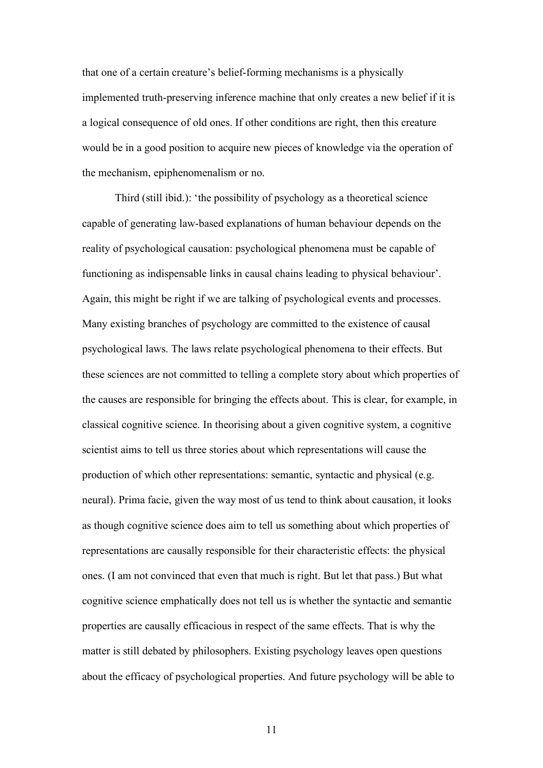that one of a certain creature's belief-forming mechanisms is a physically implemented truth-preserving inference machine that only creates a new belief if it is a logical consequence of old ones. If other conditions are right, then this creature would be in a good position to acquire new pieces of knowledge via the operation of the mechanism, epiphenomenalism or no.

Third (still ibid.): 'the possibility of psychology as a theoretical science capable of generating law-based explanations of human behaviour depends on the reality of psychological causation: psychological phenomena must be capable of functioning as indispensable links in causal chains leading to physical behaviour'. Again, this might be right if we are talking of psychological events and processes. Many existing branches of psychology are committed to the existence of causal psychological laws. The laws relate psychological phenomena to their effects. But these sciences are not committed to telling a complete story about which properties of the causes are responsible for bringing the effects about. This is clear, for example, in classical cognitive science. In theorising about a given cognitive system, a cognitive scientist aims to tell us three stories about which representations will cause the production of which other representations: semantic, syntactic and physical (e.g. neural). Prima facie, given the way most of us tend to think about causation, it looks as though cognitive science does aim to tell us something about which properties of representations are causally responsible for their characteristic effects: the physical ones. (I am not convinced that even that much is right. But let that pass.) But what cognitive science emphatically does not tell us is whether the syntactic and semantic properties are causally efficacious in respect of the same effects. That is why the matter is still debated by philosophers. Existing psychology leaves open questions about the efficacy of psychological properties. And future psychology will be able to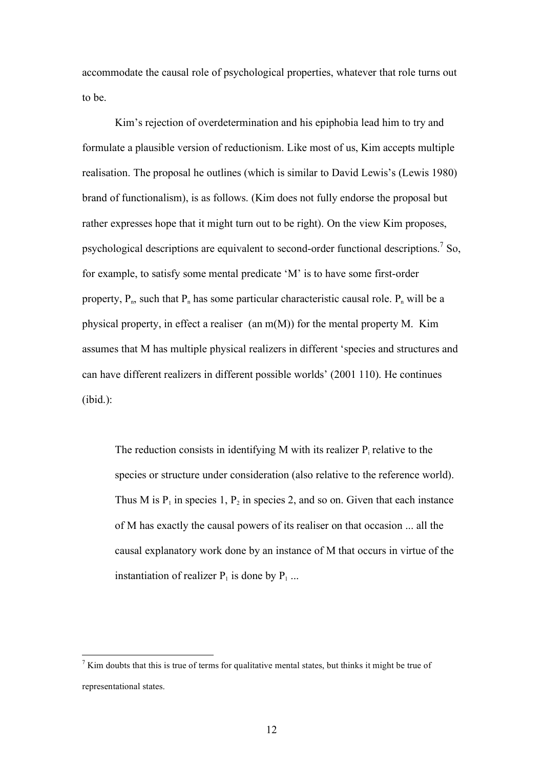accommodate the causal role of psychological properties, whatever that role turns out to be.

Kim's rejection of overdetermination and his epiphobia lead him to try and formulate a plausible version of reductionism. Like most of us, Kim accepts multiple realisation. The proposal he outlines (which is similar to David Lewis's (Lewis 1980) brand of functionalism), is as follows. (Kim does not fully endorse the proposal but rather expresses hope that it might turn out to be right). On the view Kim proposes, psychological descriptions are equivalent to second-order functional descriptions.<sup>7</sup> So, for example, to satisfy some mental predicate 'M' is to have some first-order property,  $P_n$ , such that  $P_n$  has some particular characteristic causal role.  $P_n$  will be a physical property, in effect a realiser (an m(M)) for the mental property M. Kim assumes that M has multiple physical realizers in different 'species and structures and can have different realizers in different possible worlds' (2001 110). He continues (ibid.):

The reduction consists in identifying M with its realizer  $P_i$  relative to the species or structure under consideration (also relative to the reference world). Thus M is  $P_1$  in species 1,  $P_2$  in species 2, and so on. Given that each instance of M has exactly the causal powers of its realiser on that occasion ... all the causal explanatory work done by an instance of M that occurs in virtue of the instantiation of realizer  $P_1$  is done by  $P_1$ ...

 $<sup>7</sup>$  Kim doubts that this is true of terms for qualitative mental states, but thinks it might be true of</sup> representational states.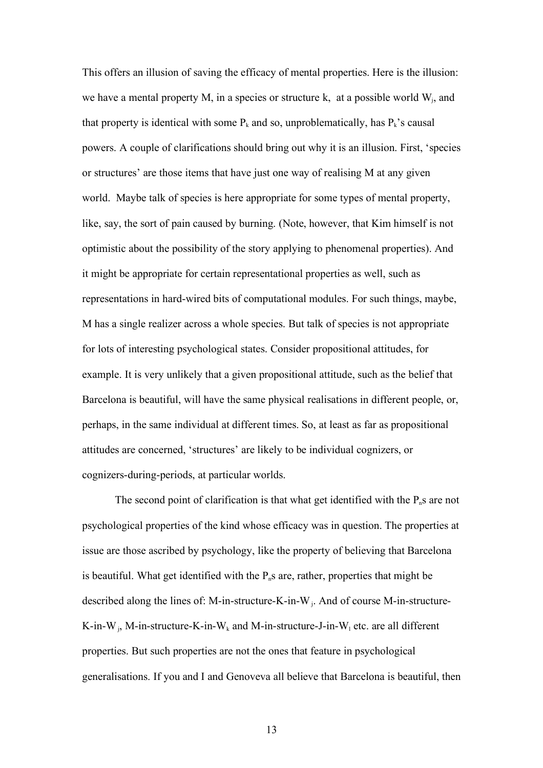This offers an illusion of saving the efficacy of mental properties. Here is the illusion: we have a mental property M, in a species or structure k, at a possible world  $W_i$ , and that property is identical with some  $P_k$  and so, unproblematically, has  $P_k$ 's causal powers. A couple of clarifications should bring out why it is an illusion. First, 'species or structures' are those items that have just one way of realising M at any given world. Maybe talk of species is here appropriate for some types of mental property, like, say, the sort of pain caused by burning. (Note, however, that Kim himself is not optimistic about the possibility of the story applying to phenomenal properties). And it might be appropriate for certain representational properties as well, such as representations in hard-wired bits of computational modules. For such things, maybe, M has a single realizer across a whole species. But talk of species is not appropriate for lots of interesting psychological states. Consider propositional attitudes, for example. It is very unlikely that a given propositional attitude, such as the belief that Barcelona is beautiful, will have the same physical realisations in different people, or, perhaps, in the same individual at different times. So, at least as far as propositional attitudes are concerned, 'structures' are likely to be individual cognizers, or cognizers-during-periods, at particular worlds.

The second point of clarification is that what get identified with the  $P_n s$  are not psychological properties of the kind whose efficacy was in question. The properties at issue are those ascribed by psychology, like the property of believing that Barcelona is beautiful. What get identified with the  $P_n$ s are, rather, properties that might be described along the lines of: M-in-structure-K-in-Wj. And of course M-in-structure-K-in-W<sub>i</sub>, M-in-structure-K-in-W<sub>k</sub> and M-in-structure-J-in-W<sub>l</sub> etc. are all different properties. But such properties are not the ones that feature in psychological generalisations. If you and I and Genoveva all believe that Barcelona is beautiful, then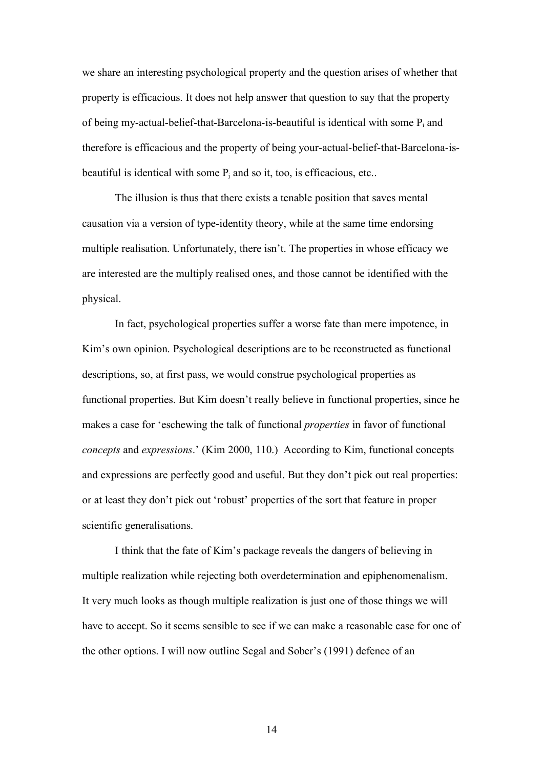we share an interesting psychological property and the question arises of whether that property is efficacious. It does not help answer that question to say that the property of being my-actual-belief-that-Barcelona-is-beautiful is identical with some  $P_i$  and therefore is efficacious and the property of being your-actual-belief-that-Barcelona-isbeautiful is identical with some  $P_i$  and so it, too, is efficacious, etc..

The illusion is thus that there exists a tenable position that saves mental causation via a version of type-identity theory, while at the same time endorsing multiple realisation. Unfortunately, there isn't. The properties in whose efficacy we are interested are the multiply realised ones, and those cannot be identified with the physical.

In fact, psychological properties suffer a worse fate than mere impotence, in Kim's own opinion. Psychological descriptions are to be reconstructed as functional descriptions, so, at first pass, we would construe psychological properties as functional properties. But Kim doesn't really believe in functional properties, since he makes a case for 'eschewing the talk of functional *properties* in favor of functional *concepts* and *expressions*.' (Kim 2000, 110.) According to Kim, functional concepts and expressions are perfectly good and useful. But they don't pick out real properties: or at least they don't pick out 'robust' properties of the sort that feature in proper scientific generalisations.

I think that the fate of Kim's package reveals the dangers of believing in multiple realization while rejecting both overdetermination and epiphenomenalism. It very much looks as though multiple realization is just one of those things we will have to accept. So it seems sensible to see if we can make a reasonable case for one of the other options. I will now outline Segal and Sober's (1991) defence of an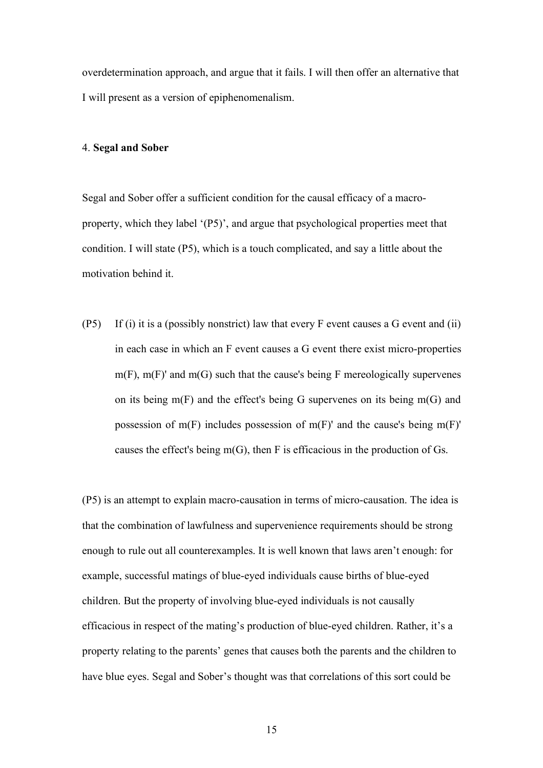overdetermination approach, and argue that it fails. I will then offer an alternative that I will present as a version of epiphenomenalism.

### 4. **Segal and Sober**

Segal and Sober offer a sufficient condition for the causal efficacy of a macroproperty, which they label '(P5)', and argue that psychological properties meet that condition. I will state (P5), which is a touch complicated, and say a little about the motivation behind it.

(P5) If (i) it is a (possibly nonstrict) law that every F event causes a G event and (ii) in each case in which an F event causes a G event there exist micro-properties  $m(F)$ ,  $m(F)'$  and  $m(G)$  such that the cause's being F mereologically supervenes on its being  $m(F)$  and the effect's being G supervenes on its being  $m(G)$  and possession of  $m(F)$  includes possession of  $m(F)'$  and the cause's being  $m(F)'$ causes the effect's being m(G), then F is efficacious in the production of Gs.

(P5) is an attempt to explain macro-causation in terms of micro-causation. The idea is that the combination of lawfulness and supervenience requirements should be strong enough to rule out all counterexamples. It is well known that laws aren't enough: for example, successful matings of blue-eyed individuals cause births of blue-eyed children. But the property of involving blue-eyed individuals is not causally efficacious in respect of the mating's production of blue-eyed children. Rather, it's a property relating to the parents' genes that causes both the parents and the children to have blue eyes. Segal and Sober's thought was that correlations of this sort could be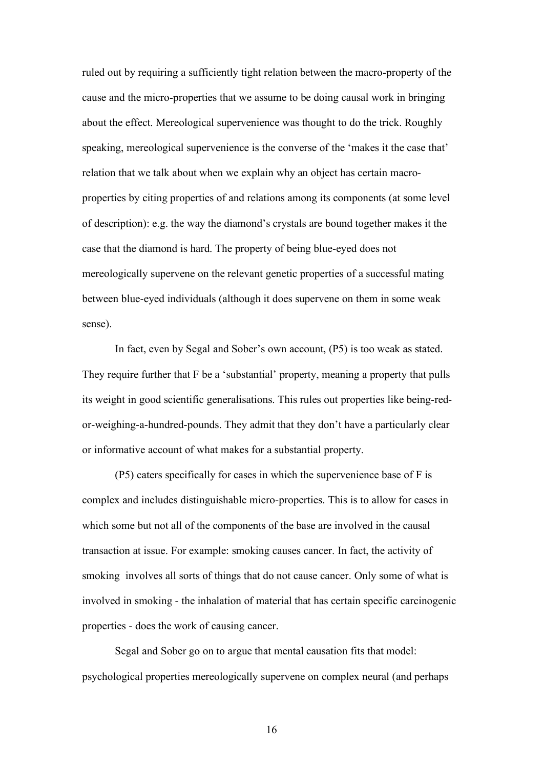ruled out by requiring a sufficiently tight relation between the macro-property of the cause and the micro-properties that we assume to be doing causal work in bringing about the effect. Mereological supervenience was thought to do the trick. Roughly speaking, mereological supervenience is the converse of the 'makes it the case that' relation that we talk about when we explain why an object has certain macroproperties by citing properties of and relations among its components (at some level of description): e.g. the way the diamond's crystals are bound together makes it the case that the diamond is hard. The property of being blue-eyed does not mereologically supervene on the relevant genetic properties of a successful mating between blue-eyed individuals (although it does supervene on them in some weak sense).

In fact, even by Segal and Sober's own account, (P5) is too weak as stated. They require further that F be a 'substantial' property, meaning a property that pulls its weight in good scientific generalisations. This rules out properties like being-redor-weighing-a-hundred-pounds. They admit that they don't have a particularly clear or informative account of what makes for a substantial property.

(P5) caters specifically for cases in which the supervenience base of F is complex and includes distinguishable micro-properties. This is to allow for cases in which some but not all of the components of the base are involved in the causal transaction at issue. For example: smoking causes cancer. In fact, the activity of smoking involves all sorts of things that do not cause cancer. Only some of what is involved in smoking - the inhalation of material that has certain specific carcinogenic properties - does the work of causing cancer.

Segal and Sober go on to argue that mental causation fits that model: psychological properties mereologically supervene on complex neural (and perhaps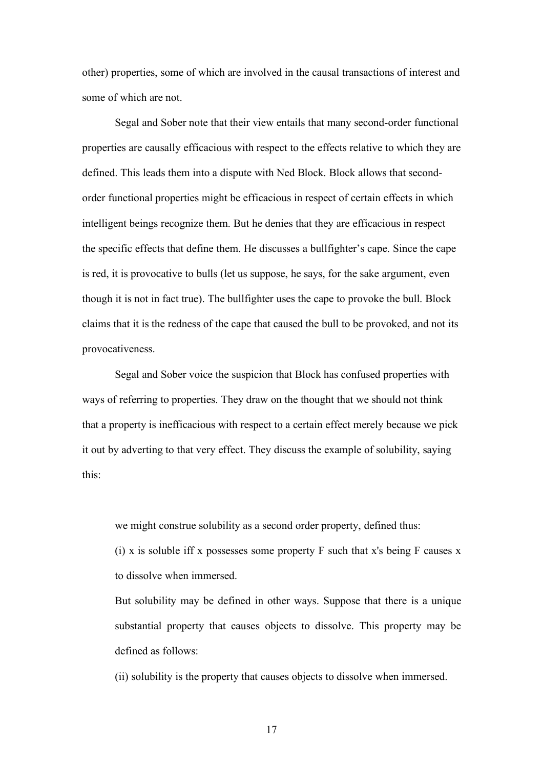other) properties, some of which are involved in the causal transactions of interest and some of which are not.

Segal and Sober note that their view entails that many second-order functional properties are causally efficacious with respect to the effects relative to which they are defined. This leads them into a dispute with Ned Block. Block allows that secondorder functional properties might be efficacious in respect of certain effects in which intelligent beings recognize them. But he denies that they are efficacious in respect the specific effects that define them. He discusses a bullfighter's cape. Since the cape is red, it is provocative to bulls (let us suppose, he says, for the sake argument, even though it is not in fact true). The bullfighter uses the cape to provoke the bull. Block claims that it is the redness of the cape that caused the bull to be provoked, and not its provocativeness.

Segal and Sober voice the suspicion that Block has confused properties with ways of referring to properties. They draw on the thought that we should not think that a property is inefficacious with respect to a certain effect merely because we pick it out by adverting to that very effect. They discuss the example of solubility, saying this:

we might construe solubility as a second order property, defined thus:

(i) x is soluble iff x possesses some property  $F$  such that x's being  $F$  causes x to dissolve when immersed.

But solubility may be defined in other ways. Suppose that there is a unique substantial property that causes objects to dissolve. This property may be defined as follows:

(ii) solubility is the property that causes objects to dissolve when immersed.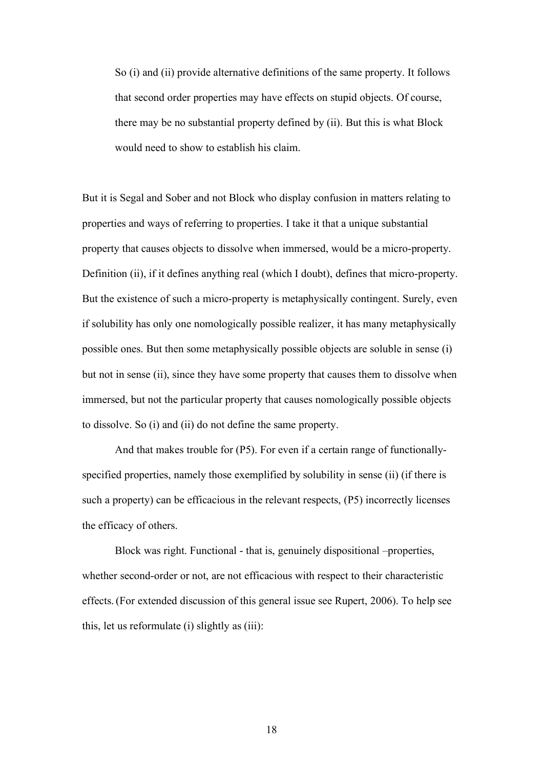So (i) and (ii) provide alternative definitions of the same property. It follows that second order properties may have effects on stupid objects. Of course, there may be no substantial property defined by (ii). But this is what Block would need to show to establish his claim.

But it is Segal and Sober and not Block who display confusion in matters relating to properties and ways of referring to properties. I take it that a unique substantial property that causes objects to dissolve when immersed, would be a micro-property. Definition (ii), if it defines anything real (which I doubt), defines that micro-property. But the existence of such a micro-property is metaphysically contingent. Surely, even if solubility has only one nomologically possible realizer, it has many metaphysically possible ones. But then some metaphysically possible objects are soluble in sense (i) but not in sense (ii), since they have some property that causes them to dissolve when immersed, but not the particular property that causes nomologically possible objects to dissolve. So (i) and (ii) do not define the same property.

And that makes trouble for (P5). For even if a certain range of functionallyspecified properties, namely those exemplified by solubility in sense (ii) (if there is such a property) can be efficacious in the relevant respects, (P5) incorrectly licenses the efficacy of others.

Block was right. Functional - that is, genuinely dispositional –properties, whether second-order or not, are not efficacious with respect to their characteristic effects. (For extended discussion of this general issue see Rupert, 2006). To help see this, let us reformulate (i) slightly as (iii):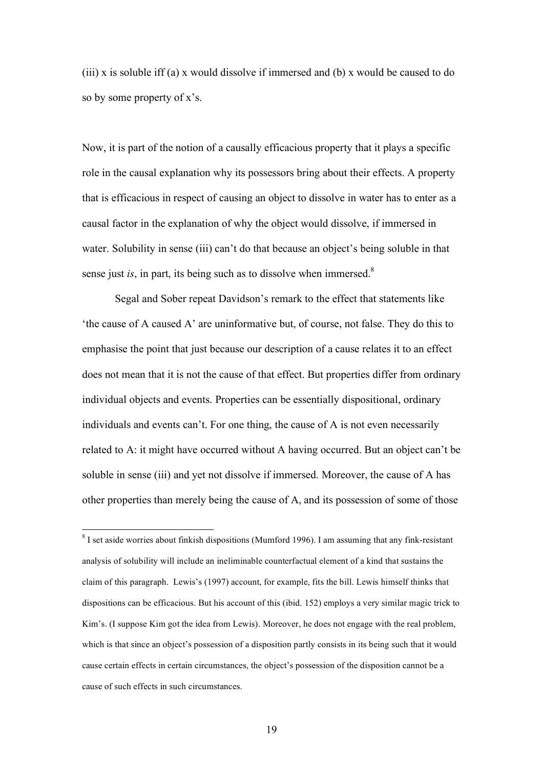(iii) x is soluble iff (a) x would dissolve if immersed and (b) x would be caused to do so by some property of x's.

Now, it is part of the notion of a causally efficacious property that it plays a specific role in the causal explanation why its possessors bring about their effects. A property that is efficacious in respect of causing an object to dissolve in water has to enter as a causal factor in the explanation of why the object would dissolve, if immersed in water. Solubility in sense (iii) can't do that because an object's being soluble in that sense just *is*, in part, its being such as to dissolve when immersed. $8$ 

Segal and Sober repeat Davidson's remark to the effect that statements like 'the cause of A caused A' are uninformative but, of course, not false. They do this to emphasise the point that just because our description of a cause relates it to an effect does not mean that it is not the cause of that effect. But properties differ from ordinary individual objects and events. Properties can be essentially dispositional, ordinary individuals and events can't. For one thing, the cause of A is not even necessarily related to A: it might have occurred without A having occurred. But an object can't be soluble in sense (iii) and yet not dissolve if immersed. Moreover, the cause of A has other properties than merely being the cause of A, and its possession of some of those

 <sup>8</sup> <sup>I</sup> set aside worries about finkish dispositions (Mumford 1996). <sup>I</sup> am assuming that any fink-resistant analysis of solubility will include an ineliminable counterfactual element of a kind that sustains the claim of this paragraph. Lewis's (1997) account, for example, fits the bill. Lewis himself thinks that dispositions can be efficacious. But his account of this (ibid. 152) employs a very similar magic trick to Kim's. (I suppose Kim got the idea from Lewis). Moreover, he does not engage with the real problem, which is that since an object's possession of a disposition partly consists in its being such that it would cause certain effects in certain circumstances, the object's possession of the disposition cannot be a cause of such effects in such circumstances.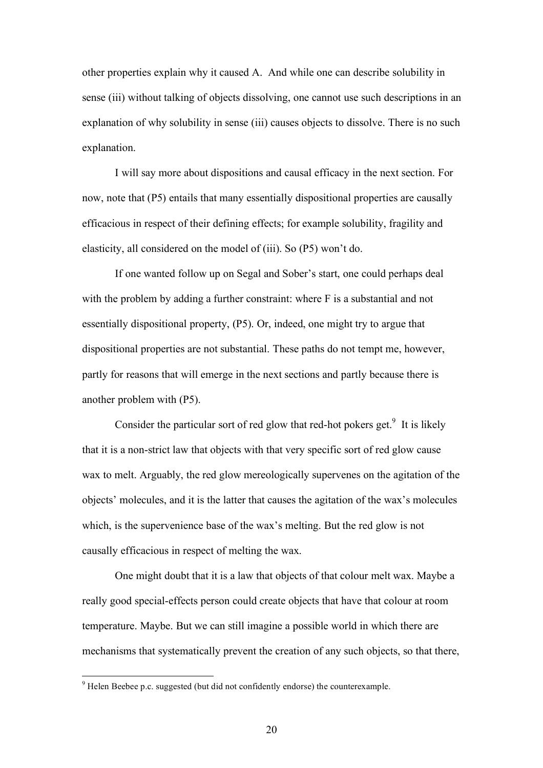other properties explain why it caused A. And while one can describe solubility in sense (iii) without talking of objects dissolving, one cannot use such descriptions in an explanation of why solubility in sense (iii) causes objects to dissolve. There is no such explanation.

I will say more about dispositions and causal efficacy in the next section. For now, note that (P5) entails that many essentially dispositional properties are causally efficacious in respect of their defining effects; for example solubility, fragility and elasticity, all considered on the model of (iii). So (P5) won't do.

If one wanted follow up on Segal and Sober's start, one could perhaps deal with the problem by adding a further constraint: where F is a substantial and not essentially dispositional property, (P5). Or, indeed, one might try to argue that dispositional properties are not substantial. These paths do not tempt me, however, partly for reasons that will emerge in the next sections and partly because there is another problem with (P5).

Consider the particular sort of red glow that red-hot pokers get. $9$  It is likely that it is a non-strict law that objects with that very specific sort of red glow cause wax to melt. Arguably, the red glow mereologically supervenes on the agitation of the objects' molecules, and it is the latter that causes the agitation of the wax's molecules which, is the supervenience base of the wax's melting. But the red glow is not causally efficacious in respect of melting the wax.

One might doubt that it is a law that objects of that colour melt wax. Maybe a really good special-effects person could create objects that have that colour at room temperature. Maybe. But we can still imagine a possible world in which there are mechanisms that systematically prevent the creation of any such objects, so that there,

 $9$  Helen Beebee p.c. suggested (but did not confidently endorse) the counterexample.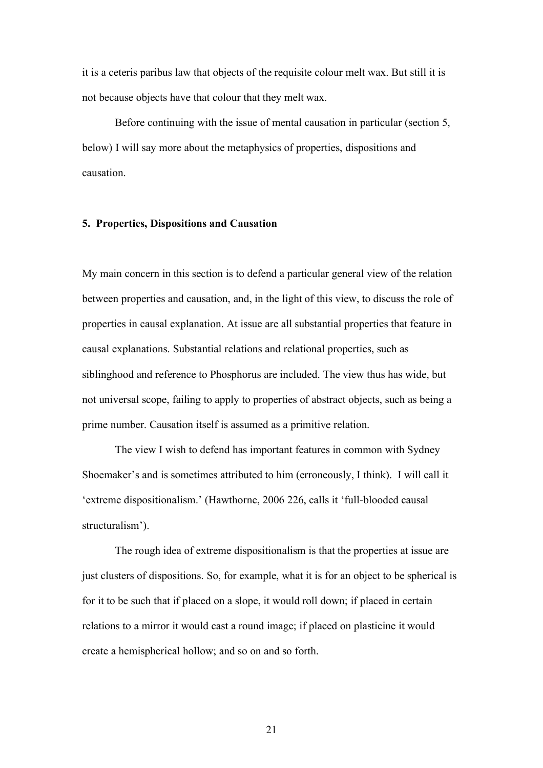it is a ceteris paribus law that objects of the requisite colour melt wax. But still it is not because objects have that colour that they melt wax.

Before continuing with the issue of mental causation in particular (section 5, below) I will say more about the metaphysics of properties, dispositions and causation.

## **5. Properties, Dispositions and Causation**

My main concern in this section is to defend a particular general view of the relation between properties and causation, and, in the light of this view, to discuss the role of properties in causal explanation. At issue are all substantial properties that feature in causal explanations. Substantial relations and relational properties, such as siblinghood and reference to Phosphorus are included. The view thus has wide, but not universal scope, failing to apply to properties of abstract objects, such as being a prime number. Causation itself is assumed as a primitive relation.

The view I wish to defend has important features in common with Sydney Shoemaker's and is sometimes attributed to him (erroneously, I think). I will call it 'extreme dispositionalism.' (Hawthorne, 2006 226, calls it 'full-blooded causal structuralism').

The rough idea of extreme dispositionalism is that the properties at issue are just clusters of dispositions. So, for example, what it is for an object to be spherical is for it to be such that if placed on a slope, it would roll down; if placed in certain relations to a mirror it would cast a round image; if placed on plasticine it would create a hemispherical hollow; and so on and so forth.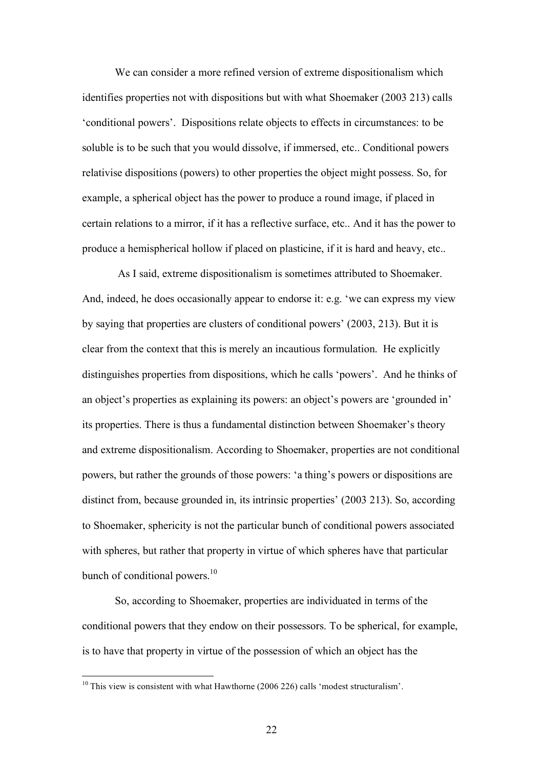We can consider a more refined version of extreme dispositionalism which identifies properties not with dispositions but with what Shoemaker (2003 213) calls 'conditional powers'. Dispositions relate objects to effects in circumstances: to be soluble is to be such that you would dissolve, if immersed, etc.. Conditional powers relativise dispositions (powers) to other properties the object might possess. So, for example, a spherical object has the power to produce a round image, if placed in certain relations to a mirror, if it has a reflective surface, etc.. And it has the power to produce a hemispherical hollow if placed on plasticine, if it is hard and heavy, etc..

As I said, extreme dispositionalism is sometimes attributed to Shoemaker. And, indeed, he does occasionally appear to endorse it: e.g. 'we can express my view by saying that properties are clusters of conditional powers' (2003, 213). But it is clear from the context that this is merely an incautious formulation. He explicitly distinguishes properties from dispositions, which he calls 'powers'. And he thinks of an object's properties as explaining its powers: an object's powers are 'grounded in' its properties. There is thus a fundamental distinction between Shoemaker's theory and extreme dispositionalism. According to Shoemaker, properties are not conditional powers, but rather the grounds of those powers: 'a thing's powers or dispositions are distinct from, because grounded in, its intrinsic properties' (2003 213). So, according to Shoemaker, sphericity is not the particular bunch of conditional powers associated with spheres, but rather that property in virtue of which spheres have that particular bunch of conditional powers.<sup>10</sup>

So, according to Shoemaker, properties are individuated in terms of the conditional powers that they endow on their possessors. To be spherical, for example, is to have that property in virtue of the possession of which an object has the

<sup>&</sup>lt;sup>10</sup> This view is consistent with what Hawthorne (2006 226) calls 'modest structuralism'.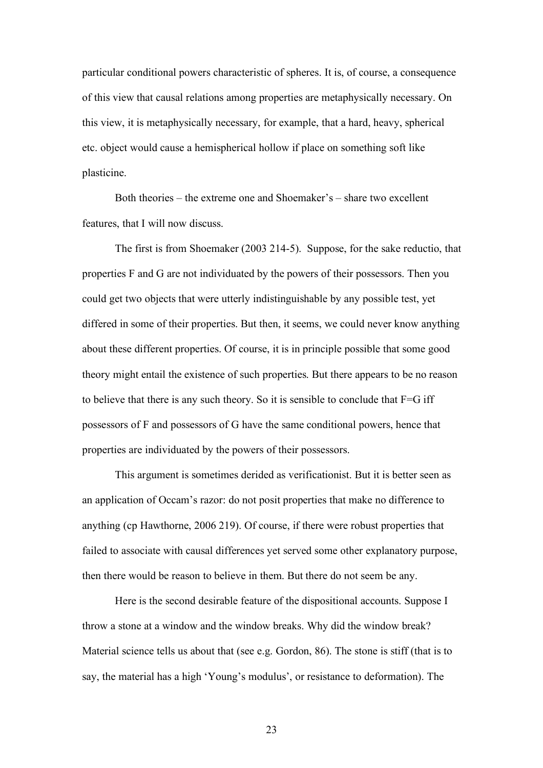particular conditional powers characteristic of spheres. It is, of course, a consequence of this view that causal relations among properties are metaphysically necessary. On this view, it is metaphysically necessary, for example, that a hard, heavy, spherical etc. object would cause a hemispherical hollow if place on something soft like plasticine.

Both theories – the extreme one and Shoemaker's – share two excellent features, that I will now discuss.

The first is from Shoemaker (2003 214-5). Suppose, for the sake reductio, that properties F and G are not individuated by the powers of their possessors. Then you could get two objects that were utterly indistinguishable by any possible test, yet differed in some of their properties. But then, it seems, we could never know anything about these different properties. Of course, it is in principle possible that some good theory might entail the existence of such properties. But there appears to be no reason to believe that there is any such theory. So it is sensible to conclude that  $F = G$  iff possessors of F and possessors of G have the same conditional powers, hence that properties are individuated by the powers of their possessors.

This argument is sometimes derided as verificationist. But it is better seen as an application of Occam's razor: do not posit properties that make no difference to anything (cp Hawthorne, 2006 219). Of course, if there were robust properties that failed to associate with causal differences yet served some other explanatory purpose, then there would be reason to believe in them. But there do not seem be any.

Here is the second desirable feature of the dispositional accounts. Suppose I throw a stone at a window and the window breaks. Why did the window break? Material science tells us about that (see e.g. Gordon, 86). The stone is stiff (that is to say, the material has a high 'Young's modulus', or resistance to deformation). The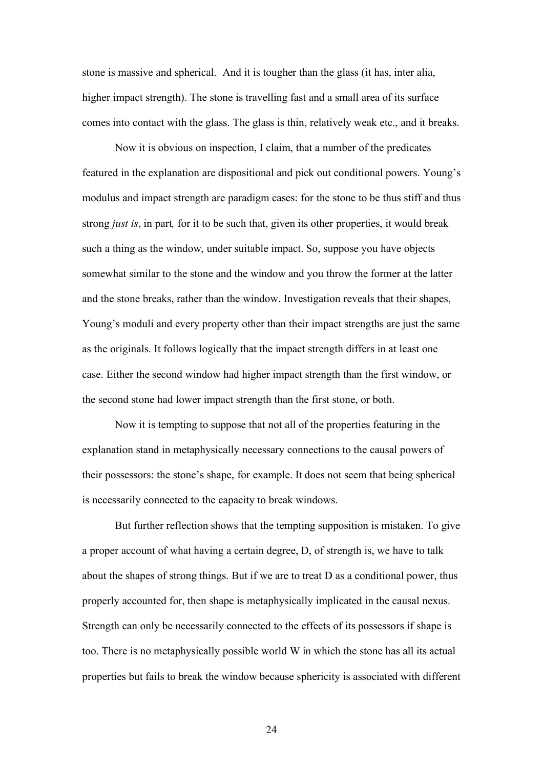stone is massive and spherical. And it is tougher than the glass (it has, inter alia, higher impact strength). The stone is travelling fast and a small area of its surface comes into contact with the glass. The glass is thin, relatively weak etc., and it breaks.

Now it is obvious on inspection, I claim, that a number of the predicates featured in the explanation are dispositional and pick out conditional powers. Young's modulus and impact strength are paradigm cases: for the stone to be thus stiff and thus strong *just is*, in part*,* for it to be such that, given its other properties, it would break such a thing as the window, under suitable impact. So, suppose you have objects somewhat similar to the stone and the window and you throw the former at the latter and the stone breaks, rather than the window. Investigation reveals that their shapes, Young's moduli and every property other than their impact strengths are just the same as the originals. It follows logically that the impact strength differs in at least one case. Either the second window had higher impact strength than the first window, or the second stone had lower impact strength than the first stone, or both.

Now it is tempting to suppose that not all of the properties featuring in the explanation stand in metaphysically necessary connections to the causal powers of their possessors: the stone's shape, for example. It does not seem that being spherical is necessarily connected to the capacity to break windows.

But further reflection shows that the tempting supposition is mistaken. To give a proper account of what having a certain degree, D, of strength is, we have to talk about the shapes of strong things. But if we are to treat D as a conditional power, thus properly accounted for, then shape is metaphysically implicated in the causal nexus. Strength can only be necessarily connected to the effects of its possessors if shape is too. There is no metaphysically possible world W in which the stone has all its actual properties but fails to break the window because sphericity is associated with different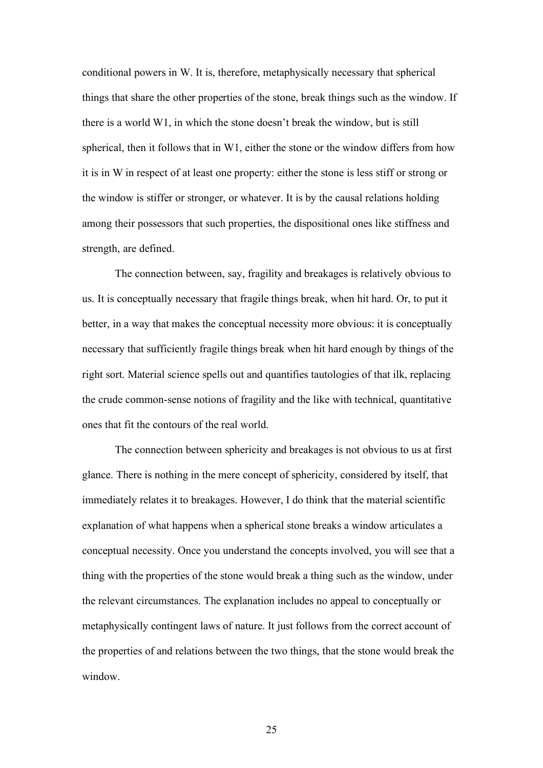conditional powers in W. It is, therefore, metaphysically necessary that spherical things that share the other properties of the stone, break things such as the window. If there is a world W1, in which the stone doesn't break the window, but is still spherical, then it follows that in W1, either the stone or the window differs from how it is in W in respect of at least one property: either the stone is less stiff or strong or the window is stiffer or stronger, or whatever. It is by the causal relations holding among their possessors that such properties, the dispositional ones like stiffness and strength, are defined.

The connection between, say, fragility and breakages is relatively obvious to us. It is conceptually necessary that fragile things break, when hit hard. Or, to put it better, in a way that makes the conceptual necessity more obvious: it is conceptually necessary that sufficiently fragile things break when hit hard enough by things of the right sort. Material science spells out and quantifies tautologies of that ilk, replacing the crude common-sense notions of fragility and the like with technical, quantitative ones that fit the contours of the real world.

The connection between sphericity and breakages is not obvious to us at first glance. There is nothing in the mere concept of sphericity, considered by itself, that immediately relates it to breakages. However, I do think that the material scientific explanation of what happens when a spherical stone breaks a window articulates a conceptual necessity. Once you understand the concepts involved, you will see that a thing with the properties of the stone would break a thing such as the window, under the relevant circumstances. The explanation includes no appeal to conceptually or metaphysically contingent laws of nature. It just follows from the correct account of the properties of and relations between the two things, that the stone would break the window.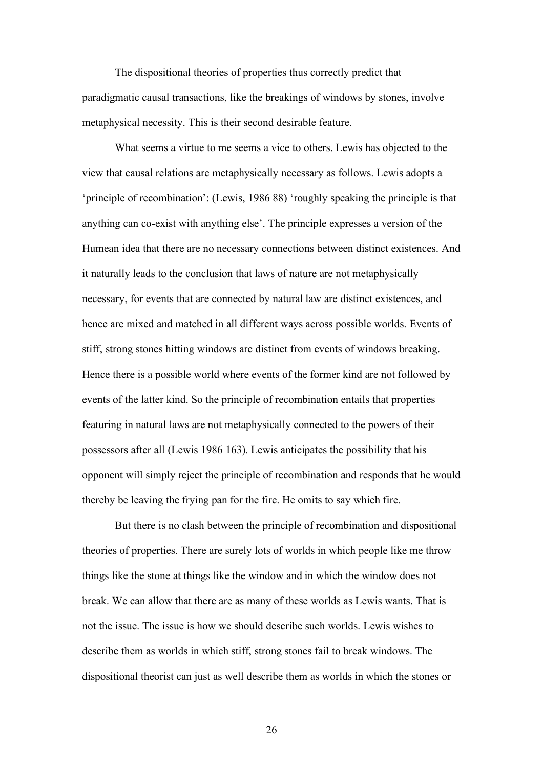The dispositional theories of properties thus correctly predict that paradigmatic causal transactions, like the breakings of windows by stones, involve metaphysical necessity. This is their second desirable feature.

What seems a virtue to me seems a vice to others. Lewis has objected to the view that causal relations are metaphysically necessary as follows. Lewis adopts a 'principle of recombination': (Lewis, 1986 88) 'roughly speaking the principle is that anything can co-exist with anything else'. The principle expresses a version of the Humean idea that there are no necessary connections between distinct existences. And it naturally leads to the conclusion that laws of nature are not metaphysically necessary, for events that are connected by natural law are distinct existences, and hence are mixed and matched in all different ways across possible worlds. Events of stiff, strong stones hitting windows are distinct from events of windows breaking. Hence there is a possible world where events of the former kind are not followed by events of the latter kind. So the principle of recombination entails that properties featuring in natural laws are not metaphysically connected to the powers of their possessors after all (Lewis 1986 163). Lewis anticipates the possibility that his opponent will simply reject the principle of recombination and responds that he would thereby be leaving the frying pan for the fire. He omits to say which fire.

But there is no clash between the principle of recombination and dispositional theories of properties. There are surely lots of worlds in which people like me throw things like the stone at things like the window and in which the window does not break. We can allow that there are as many of these worlds as Lewis wants. That is not the issue. The issue is how we should describe such worlds. Lewis wishes to describe them as worlds in which stiff, strong stones fail to break windows. The dispositional theorist can just as well describe them as worlds in which the stones or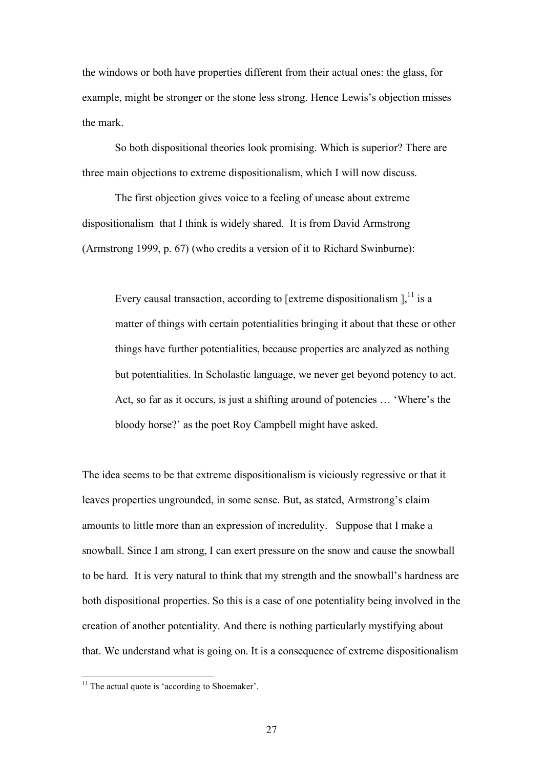the windows or both have properties different from their actual ones: the glass, for example, might be stronger or the stone less strong. Hence Lewis's objection misses the mark.

So both dispositional theories look promising. Which is superior? There are three main objections to extreme dispositionalism, which I will now discuss.

The first objection gives voice to a feeling of unease about extreme dispositionalism that I think is widely shared. It is from David Armstrong (Armstrong 1999, p. 67) (who credits a version of it to Richard Swinburne):

Every causal transaction, according to [extreme dispositionalism], $^{11}$  is a matter of things with certain potentialities bringing it about that these or other things have further potentialities, because properties are analyzed as nothing but potentialities. In Scholastic language, we never get beyond potency to act. Act, so far as it occurs, is just a shifting around of potencies … 'Where's the bloody horse?' as the poet Roy Campbell might have asked.

The idea seems to be that extreme dispositionalism is viciously regressive or that it leaves properties ungrounded, in some sense. But, as stated, Armstrong's claim amounts to little more than an expression of incredulity. Suppose that I make a snowball. Since I am strong, I can exert pressure on the snow and cause the snowball to be hard. It is very natural to think that my strength and the snowball's hardness are both dispositional properties. So this is a case of one potentiality being involved in the creation of another potentiality. And there is nothing particularly mystifying about that. We understand what is going on. It is a consequence of extreme dispositionalism

 $11$  The actual quote is 'according to Shoemaker'.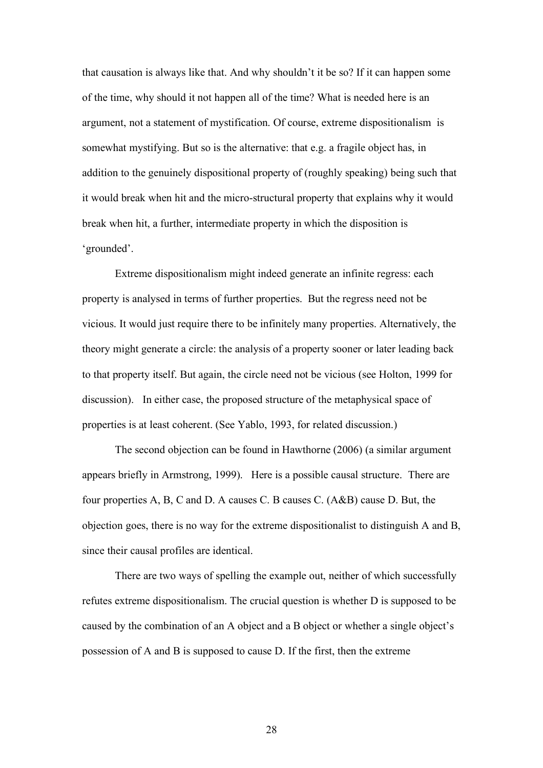that causation is always like that. And why shouldn't it be so? If it can happen some of the time, why should it not happen all of the time? What is needed here is an argument, not a statement of mystification. Of course, extreme dispositionalism is somewhat mystifying. But so is the alternative: that e.g. a fragile object has, in addition to the genuinely dispositional property of (roughly speaking) being such that it would break when hit and the micro-structural property that explains why it would break when hit, a further, intermediate property in which the disposition is 'grounded'.

Extreme dispositionalism might indeed generate an infinite regress: each property is analysed in terms of further properties. But the regress need not be vicious. It would just require there to be infinitely many properties. Alternatively, the theory might generate a circle: the analysis of a property sooner or later leading back to that property itself. But again, the circle need not be vicious (see Holton, 1999 for discussion). In either case, the proposed structure of the metaphysical space of properties is at least coherent. (See Yablo, 1993, for related discussion.)

The second objection can be found in Hawthorne (2006) (a similar argument appears briefly in Armstrong, 1999). Here is a possible causal structure. There are four properties A, B, C and D. A causes C. B causes C. (A&B) cause D. But, the objection goes, there is no way for the extreme dispositionalist to distinguish A and B, since their causal profiles are identical.

There are two ways of spelling the example out, neither of which successfully refutes extreme dispositionalism. The crucial question is whether D is supposed to be caused by the combination of an A object and a B object or whether a single object's possession of A and B is supposed to cause D. If the first, then the extreme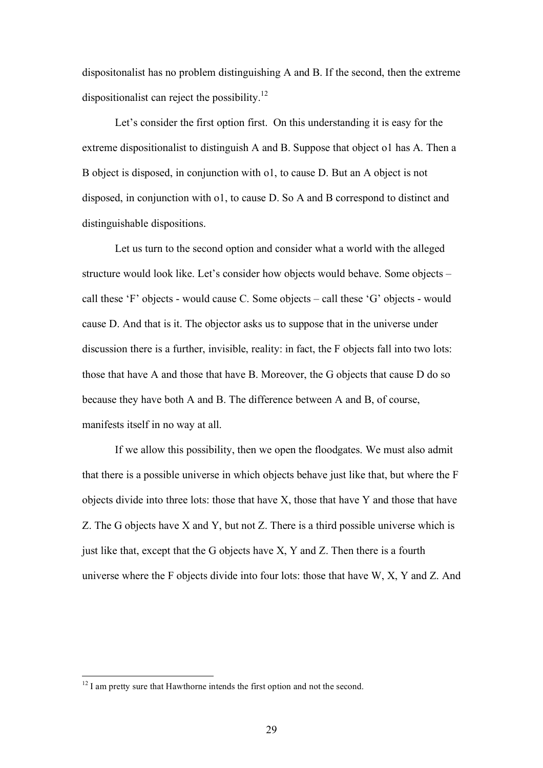dispositonalist has no problem distinguishing A and B. If the second, then the extreme dispositionalist can reject the possibility.<sup>12</sup>

Let's consider the first option first. On this understanding it is easy for the extreme dispositionalist to distinguish A and B. Suppose that object o1 has A. Then a B object is disposed, in conjunction with o1, to cause D. But an A object is not disposed, in conjunction with o1, to cause D. So A and B correspond to distinct and distinguishable dispositions.

Let us turn to the second option and consider what a world with the alleged structure would look like. Let's consider how objects would behave. Some objects – call these 'F' objects - would cause C. Some objects – call these 'G' objects - would cause D. And that is it. The objector asks us to suppose that in the universe under discussion there is a further, invisible, reality: in fact, the F objects fall into two lots: those that have A and those that have B. Moreover, the G objects that cause D do so because they have both A and B. The difference between A and B, of course, manifests itself in no way at all.

If we allow this possibility, then we open the floodgates. We must also admit that there is a possible universe in which objects behave just like that, but where the F objects divide into three lots: those that have X, those that have Y and those that have Z. The G objects have X and Y, but not Z. There is a third possible universe which is just like that, except that the G objects have X, Y and Z. Then there is a fourth universe where the F objects divide into four lots: those that have W, X, Y and Z. And

 $12$  I am pretty sure that Hawthorne intends the first option and not the second.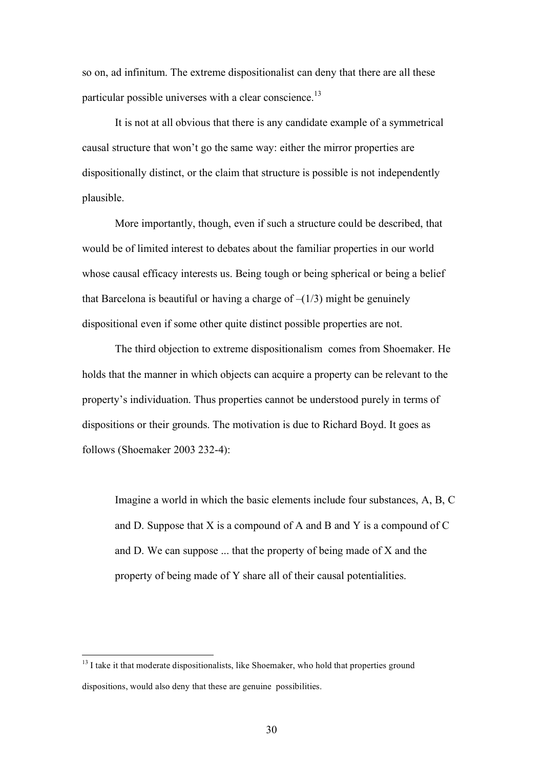so on, ad infinitum. The extreme dispositionalist can deny that there are all these particular possible universes with a clear conscience.<sup>13</sup>

It is not at all obvious that there is any candidate example of a symmetrical causal structure that won't go the same way: either the mirror properties are dispositionally distinct, or the claim that structure is possible is not independently plausible.

More importantly, though, even if such a structure could be described, that would be of limited interest to debates about the familiar properties in our world whose causal efficacy interests us. Being tough or being spherical or being a belief that Barcelona is beautiful or having a charge of  $-(1/3)$  might be genuinely dispositional even if some other quite distinct possible properties are not.

The third objection to extreme dispositionalism comes from Shoemaker. He holds that the manner in which objects can acquire a property can be relevant to the property's individuation. Thus properties cannot be understood purely in terms of dispositions or their grounds. The motivation is due to Richard Boyd. It goes as follows (Shoemaker 2003 232-4):

Imagine a world in which the basic elements include four substances, A, B, C and D. Suppose that X is a compound of A and B and Y is a compound of C and D. We can suppose ... that the property of being made of X and the property of being made of Y share all of their causal potentialities.

<sup>&</sup>lt;sup>13</sup> I take it that moderate dispositionalists, like Shoemaker, who hold that properties ground dispositions, would also deny that these are genuine possibilities.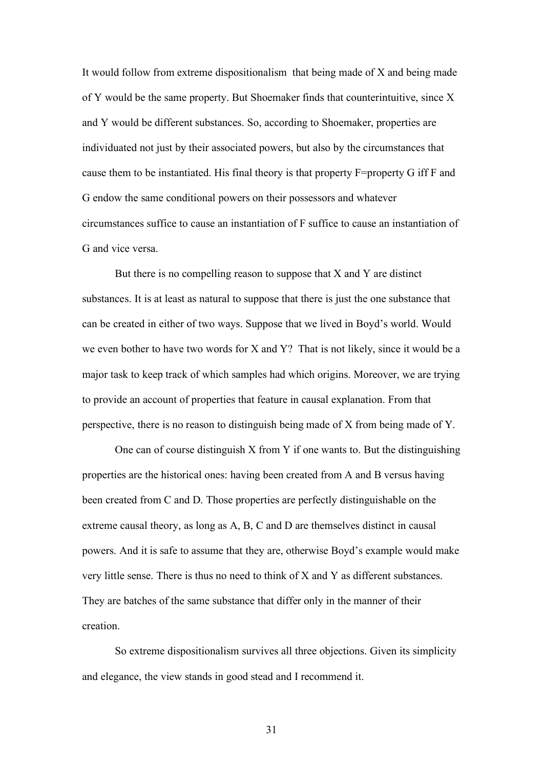It would follow from extreme dispositionalism that being made of X and being made of Y would be the same property. But Shoemaker finds that counterintuitive, since X and Y would be different substances. So, according to Shoemaker, properties are individuated not just by their associated powers, but also by the circumstances that cause them to be instantiated. His final theory is that property F=property G iff F and G endow the same conditional powers on their possessors and whatever circumstances suffice to cause an instantiation of F suffice to cause an instantiation of G and vice versa.

But there is no compelling reason to suppose that  $X$  and  $Y$  are distinct substances. It is at least as natural to suppose that there is just the one substance that can be created in either of two ways. Suppose that we lived in Boyd's world. Would we even bother to have two words for X and Y? That is not likely, since it would be a major task to keep track of which samples had which origins. Moreover, we are trying to provide an account of properties that feature in causal explanation. From that perspective, there is no reason to distinguish being made of X from being made of Y.

One can of course distinguish X from Y if one wants to. But the distinguishing properties are the historical ones: having been created from A and B versus having been created from C and D. Those properties are perfectly distinguishable on the extreme causal theory, as long as A, B, C and D are themselves distinct in causal powers. And it is safe to assume that they are, otherwise Boyd's example would make very little sense. There is thus no need to think of X and Y as different substances. They are batches of the same substance that differ only in the manner of their creation.

So extreme dispositionalism survives all three objections. Given its simplicity and elegance, the view stands in good stead and I recommend it.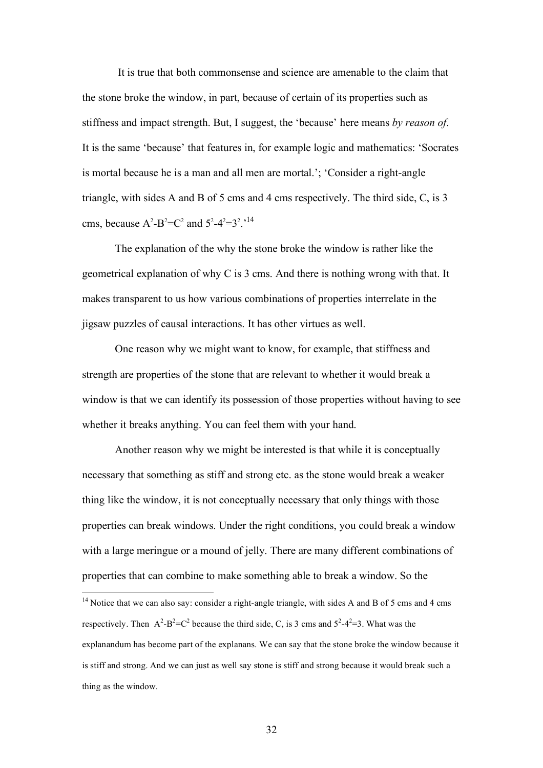It is true that both commonsense and science are amenable to the claim that the stone broke the window, in part, because of certain of its properties such as stiffness and impact strength. But, I suggest, the 'because' here means *by reason of*. It is the same 'because' that features in, for example logic and mathematics: 'Socrates is mortal because he is a man and all men are mortal.'; 'Consider a right-angle triangle, with sides A and B of 5 cms and 4 cms respectively. The third side, C, is 3 cms, because  $A^2-B^2=C^2$  and  $5^2-4^2=3^2$ .<sup>14</sup>

The explanation of the why the stone broke the window is rather like the geometrical explanation of why C is 3 cms. And there is nothing wrong with that. It makes transparent to us how various combinations of properties interrelate in the jigsaw puzzles of causal interactions. It has other virtues as well.

One reason why we might want to know, for example, that stiffness and strength are properties of the stone that are relevant to whether it would break a window is that we can identify its possession of those properties without having to see whether it breaks anything. You can feel them with your hand.

Another reason why we might be interested is that while it is conceptually necessary that something as stiff and strong etc. as the stone would break a weaker thing like the window, it is not conceptually necessary that only things with those properties can break windows. Under the right conditions, you could break a window with a large meringue or a mound of jelly. There are many different combinations of properties that can combine to make something able to break a window. So the

<sup>&</sup>lt;sup>14</sup> Notice that we can also say: consider a right-angle triangle, with sides A and B of 5 cms and 4 cms respectively. Then  $A^2 - B^2 = C^2$  because the third side, C, is 3 cms and  $5^2 - 4^2 = 3$ . What was the explanandum has become part of the explanans. We can say that the stone broke the window because it is stiff and strong. And we can just as well say stone is stiff and strong because it would break such a thing as the window.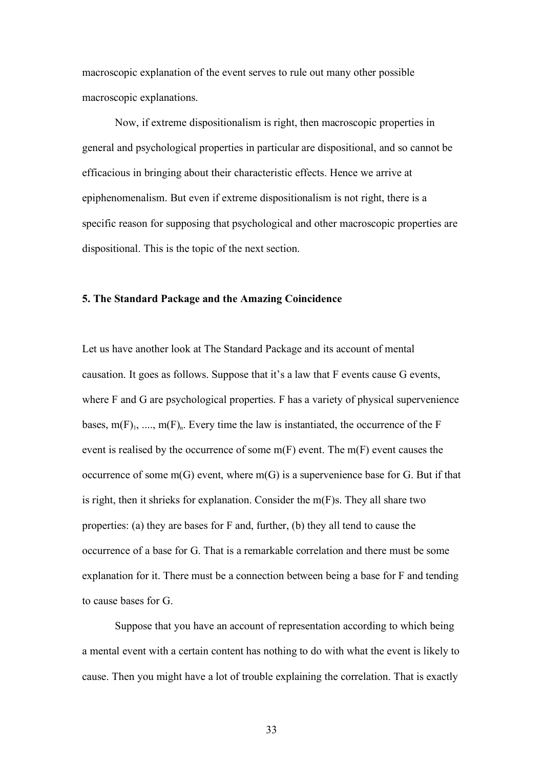macroscopic explanation of the event serves to rule out many other possible macroscopic explanations.

Now, if extreme dispositionalism is right, then macroscopic properties in general and psychological properties in particular are dispositional, and so cannot be efficacious in bringing about their characteristic effects. Hence we arrive at epiphenomenalism. But even if extreme dispositionalism is not right, there is a specific reason for supposing that psychological and other macroscopic properties are dispositional. This is the topic of the next section.

### **5. The Standard Package and the Amazing Coincidence**

Let us have another look at The Standard Package and its account of mental causation. It goes as follows. Suppose that it's a law that F events cause G events, where F and G are psychological properties. F has a variety of physical supervenience bases,  $m(F)$ <sub>1</sub>, ...,  $m(F)$ <sub>n</sub>. Every time the law is instantiated, the occurrence of the F event is realised by the occurrence of some  $m(F)$  event. The  $m(F)$  event causes the occurrence of some  $m(G)$  event, where  $m(G)$  is a supervenience base for G. But if that is right, then it shrieks for explanation. Consider the m(F)s. They all share two properties: (a) they are bases for F and, further, (b) they all tend to cause the occurrence of a base for G. That is a remarkable correlation and there must be some explanation for it. There must be a connection between being a base for F and tending to cause bases for G.

Suppose that you have an account of representation according to which being a mental event with a certain content has nothing to do with what the event is likely to cause. Then you might have a lot of trouble explaining the correlation. That is exactly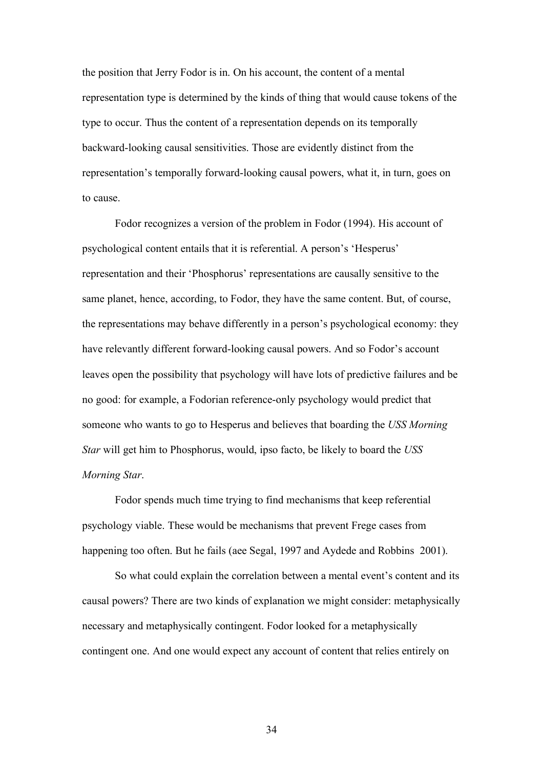the position that Jerry Fodor is in. On his account, the content of a mental representation type is determined by the kinds of thing that would cause tokens of the type to occur. Thus the content of a representation depends on its temporally backward-looking causal sensitivities. Those are evidently distinct from the representation's temporally forward-looking causal powers, what it, in turn, goes on to cause.

Fodor recognizes a version of the problem in Fodor (1994). His account of psychological content entails that it is referential. A person's 'Hesperus' representation and their 'Phosphorus' representations are causally sensitive to the same planet, hence, according, to Fodor, they have the same content. But, of course, the representations may behave differently in a person's psychological economy: they have relevantly different forward-looking causal powers. And so Fodor's account leaves open the possibility that psychology will have lots of predictive failures and be no good: for example, a Fodorian reference-only psychology would predict that someone who wants to go to Hesperus and believes that boarding the *USS Morning Star* will get him to Phosphorus, would, ipso facto, be likely to board the *USS Morning Star*.

Fodor spends much time trying to find mechanisms that keep referential psychology viable. These would be mechanisms that prevent Frege cases from happening too often. But he fails (aee Segal, 1997 and Aydede and Robbins 2001).

So what could explain the correlation between a mental event's content and its causal powers? There are two kinds of explanation we might consider: metaphysically necessary and metaphysically contingent. Fodor looked for a metaphysically contingent one. And one would expect any account of content that relies entirely on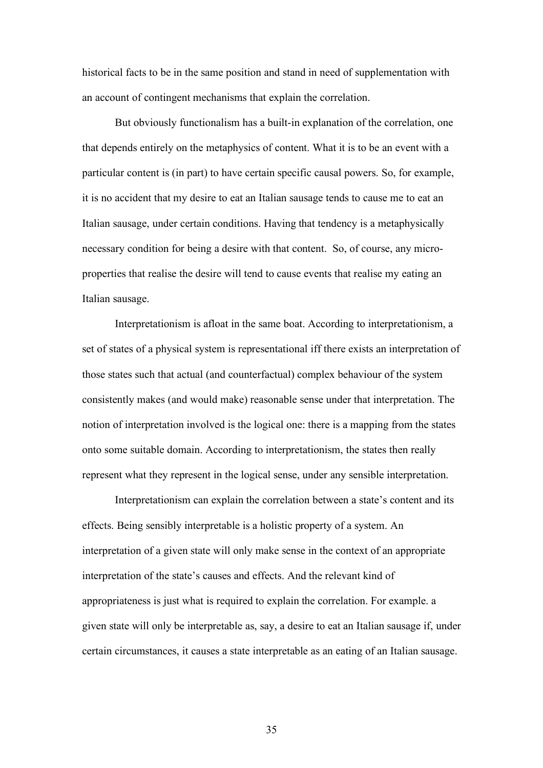historical facts to be in the same position and stand in need of supplementation with an account of contingent mechanisms that explain the correlation.

But obviously functionalism has a built-in explanation of the correlation, one that depends entirely on the metaphysics of content. What it is to be an event with a particular content is (in part) to have certain specific causal powers. So, for example, it is no accident that my desire to eat an Italian sausage tends to cause me to eat an Italian sausage, under certain conditions. Having that tendency is a metaphysically necessary condition for being a desire with that content. So, of course, any microproperties that realise the desire will tend to cause events that realise my eating an Italian sausage.

Interpretationism is afloat in the same boat. According to interpretationism, a set of states of a physical system is representational iff there exists an interpretation of those states such that actual (and counterfactual) complex behaviour of the system consistently makes (and would make) reasonable sense under that interpretation. The notion of interpretation involved is the logical one: there is a mapping from the states onto some suitable domain. According to interpretationism, the states then really represent what they represent in the logical sense, under any sensible interpretation.

Interpretationism can explain the correlation between a state's content and its effects. Being sensibly interpretable is a holistic property of a system. An interpretation of a given state will only make sense in the context of an appropriate interpretation of the state's causes and effects. And the relevant kind of appropriateness is just what is required to explain the correlation. For example. a given state will only be interpretable as, say, a desire to eat an Italian sausage if, under certain circumstances, it causes a state interpretable as an eating of an Italian sausage.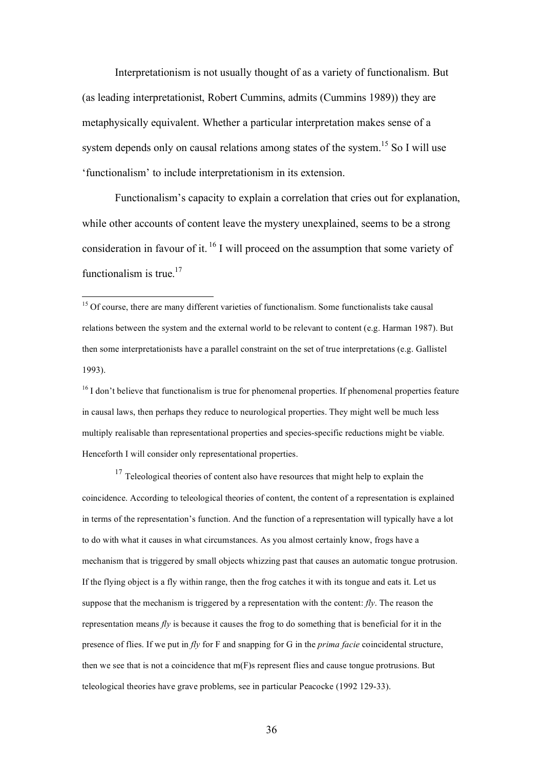Interpretationism is not usually thought of as a variety of functionalism. But (as leading interpretationist, Robert Cummins, admits (Cummins 1989)) they are metaphysically equivalent. Whether a particular interpretation makes sense of a system depends only on causal relations among states of the system.<sup>15</sup> So I will use 'functionalism' to include interpretationism in its extension.

Functionalism's capacity to explain a correlation that cries out for explanation, while other accounts of content leave the mystery unexplained, seems to be a strong consideration in favour of it. <sup>16</sup> I will proceed on the assumption that some variety of functionalism is true.<sup>17</sup>

 $15$  Of course, there are many different varieties of functionalism. Some functionalists take causal relations between the system and the external world to be relevant to content (e.g. Harman 1987). But then some interpretationists have a parallel constraint on the set of true interpretations (e.g. Gallistel 1993).

 $16$  I don't believe that functionalism is true for phenomenal properties. If phenomenal properties feature in causal laws, then perhaps they reduce to neurological properties. They might well be much less multiply realisable than representational properties and species-specific reductions might be viable. Henceforth I will consider only representational properties.

<sup>17</sup> Teleological theories of content also have resources that might help to explain the coincidence. According to teleological theories of content, the content of a representation is explained in terms of the representation's function. And the function of a representation will typically have a lot to do with what it causes in what circumstances. As you almost certainly know, frogs have a mechanism that is triggered by small objects whizzing past that causes an automatic tongue protrusion. If the flying object is a fly within range, then the frog catches it with its tongue and eats it. Let us suppose that the mechanism is triggered by a representation with the content: *fly*. The reason the representation means *fly* is because it causes the frog to do something that is beneficial for it in the presence of flies. If we put in *fly* for F and snapping for G in the *prima facie* coincidental structure, then we see that is not a coincidence that m(F)s represent flies and cause tongue protrusions. But teleological theories have grave problems, see in particular Peacocke (1992 129-33).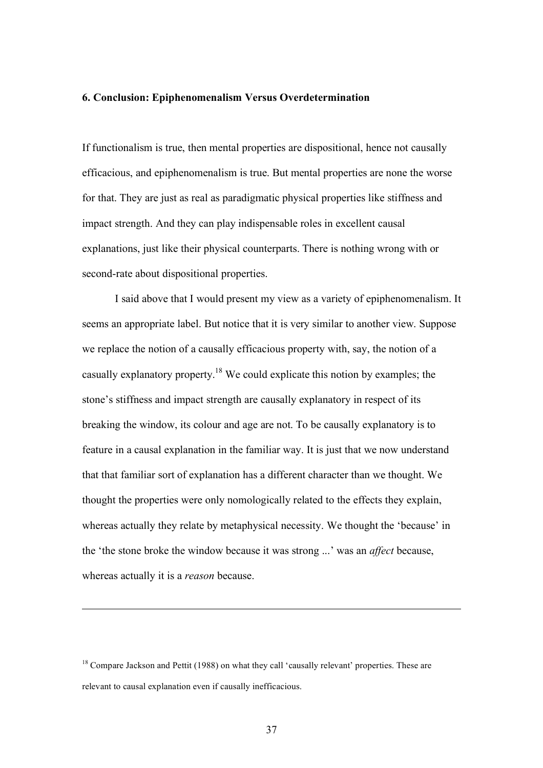#### **6. Conclusion: Epiphenomenalism Versus Overdetermination**

If functionalism is true, then mental properties are dispositional, hence not causally efficacious, and epiphenomenalism is true. But mental properties are none the worse for that. They are just as real as paradigmatic physical properties like stiffness and impact strength. And they can play indispensable roles in excellent causal explanations, just like their physical counterparts. There is nothing wrong with or second-rate about dispositional properties.

I said above that I would present my view as a variety of epiphenomenalism. It seems an appropriate label. But notice that it is very similar to another view. Suppose we replace the notion of a causally efficacious property with, say, the notion of a casually explanatory property.<sup>18</sup> We could explicate this notion by examples; the stone's stiffness and impact strength are causally explanatory in respect of its breaking the window, its colour and age are not. To be causally explanatory is to feature in a causal explanation in the familiar way. It is just that we now understand that that familiar sort of explanation has a different character than we thought. We thought the properties were only nomologically related to the effects they explain, whereas actually they relate by metaphysical necessity. We thought the 'because' in the 'the stone broke the window because it was strong ...' was an *affect* because, whereas actually it is a *reason* because.

 $\overline{a}$ 

<sup>&</sup>lt;sup>18</sup> Compare Jackson and Pettit (1988) on what they call 'causally relevant' properties. These are relevant to causal explanation even if causally inefficacious.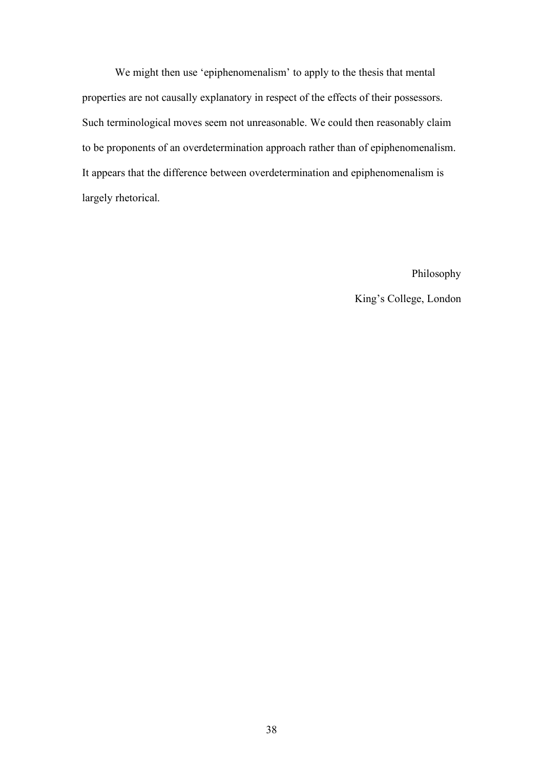We might then use 'epiphenomenalism' to apply to the thesis that mental properties are not causally explanatory in respect of the effects of their possessors. Such terminological moves seem not unreasonable. We could then reasonably claim to be proponents of an overdetermination approach rather than of epiphenomenalism. It appears that the difference between overdetermination and epiphenomenalism is largely rhetorical.

Philosophy

King's College, London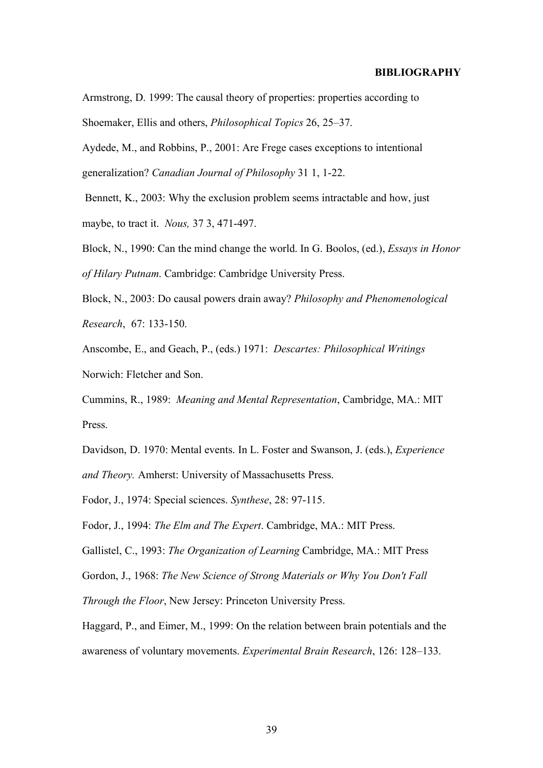#### **BIBLIOGRAPHY**

Armstrong, D. 1999: The causal theory of properties: properties according to Shoemaker, Ellis and others, *Philosophical Topics* 26, 25–37.

Aydede, M., and Robbins, P., 2001: Are Frege cases exceptions to intentional generalization? *Canadian Journal of Philosophy* 31 1, 1-22.

Bennett, K., 2003: Why the exclusion problem seems intractable and how, just maybe, to tract it. *Nous,* 37 3, 471-497.

Block, N., 1990: Can the mind change the world. In G. Boolos, (ed.), *Essays in Honor of Hilary Putnam*. Cambridge: Cambridge University Press.

Block, N., 2003: Do causal powers drain away? *Philosophy and Phenomenological Research*, 67: 133-150.

Anscombe, E., and Geach, P., (eds.) 1971: *Descartes: Philosophical Writings* Norwich: Fletcher and Son.

Cummins, R., 1989: *Meaning and Mental Representation*, Cambridge, MA.: MIT Press.

Davidson, D. 1970: Mental events. In L. Foster and Swanson, J. (eds.), *Experience and Theory.* Amherst: University of Massachusetts Press.

Fodor, J., 1974: Special sciences. *Synthese*, 28: 97-115.

Fodor, J., 1994: *The Elm and The Expert*. Cambridge, MA.: MIT Press.

Gallistel, C., 1993: *The Organization of Learning* Cambridge, MA.: MIT Press

Gordon, J., 1968: *The New Science of Strong Materials or Why You Don't Fall*

*Through the Floor*, New Jersey: Princeton University Press.

Haggard, P., and Eimer, M., 1999: On the relation between brain potentials and the awareness of voluntary movements. *Experimental Brain Research*, 126: 128–133.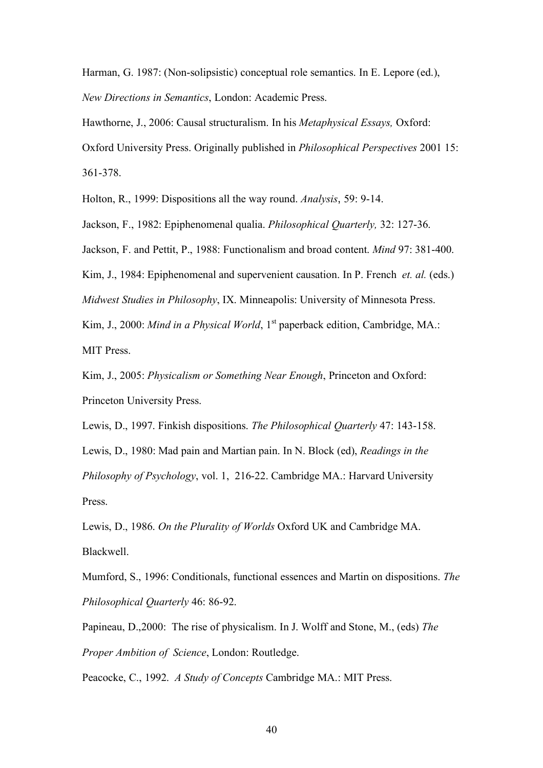Harman, G. 1987: (Non-solipsistic) conceptual role semantics. In E. Lepore (ed.), *New Directions in Semantics*, London: Academic Press.

Hawthorne, J., 2006: Causal structuralism. In his *Metaphysical Essays,* Oxford: Oxford University Press. Originally published in *Philosophical Perspectives* 2001 15: 361-378.

Holton, R., 1999: Dispositions all the way round. *Analysis*, 59: 9-14.

Jackson, F., 1982: Epiphenomenal qualia. *Philosophical Quarterly,* 32: 127-36.

Jackson, F. and Pettit, P., 1988: Functionalism and broad content. *Mind* 97: 381-400.

Kim, J., 1984: Epiphenomenal and supervenient causation. In P. French *et. al.* (eds.)

*Midwest Studies in Philosophy*, IX. Minneapolis: University of Minnesota Press.

Kim, J., 2000: *Mind in a Physical World*, 1<sup>st</sup> paperback edition, Cambridge, MA.: MIT Press.

Kim, J., 2005: *Physicalism or Something Near Enough*, Princeton and Oxford: Princeton University Press.

Lewis, D., 1997. Finkish dispositions. *The Philosophical Quarterly* 47: 143-158. Lewis, D., 1980: Mad pain and Martian pain. In N. Block (ed), *Readings in the Philosophy of Psychology*, vol. 1, 216-22. Cambridge MA.: Harvard University Press.

Lewis, D., 1986. *On the Plurality of Worlds* Oxford UK and Cambridge MA. Blackwell.

Mumford, S., 1996: Conditionals, functional essences and Martin on dispositions. *The Philosophical Quarterly* 46: 86-92.

Papineau, D.,2000: The rise of physicalism. In J. Wolff and Stone, M., (eds) *The Proper Ambition of Science*, London: Routledge.

Peacocke, C., 1992. *A Study of Concepts* Cambridge MA.: MIT Press.